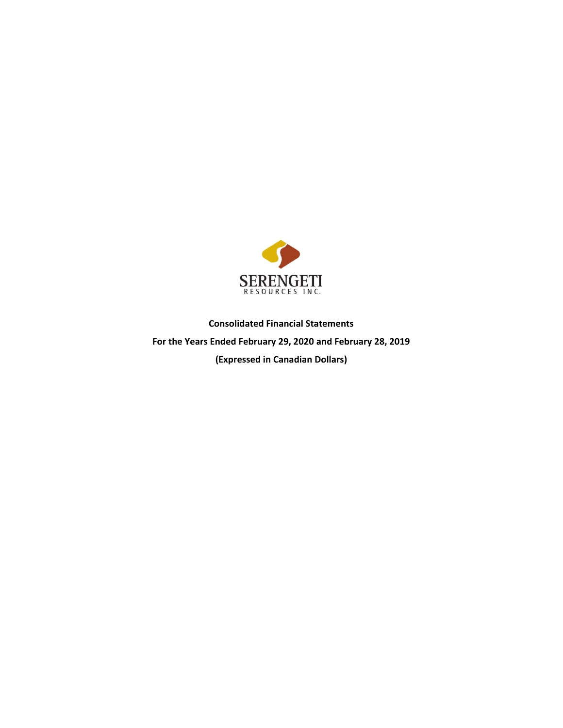

**Consolidated Financial Statements For the Years Ended February 29, 2020 and February 28, 2019 (Expressed in Canadian Dollars)**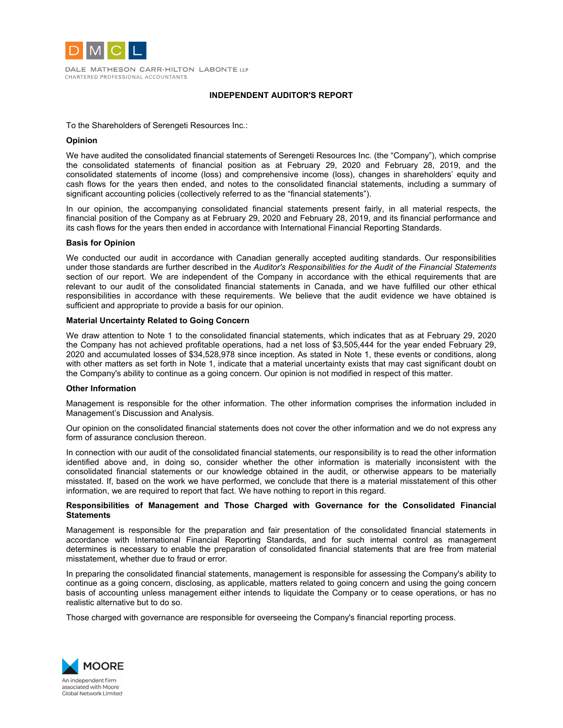

DALE MATHESON CARR-HILTON LABONTE UP CHARTERED PROFESSIONAL ACCOUNTANTS

#### **INDEPENDENT AUDITOR'S REPORT**

To the Shareholders of Serengeti Resources Inc.:

#### **Opinion**

We have audited the consolidated financial statements of Serengeti Resources Inc. (the "Company"), which comprise the consolidated statements of financial position as at February 29, 2020 and February 28, 2019, and the consolidated statements of income (loss) and comprehensive income (loss), changes in shareholders' equity and cash flows for the years then ended, and notes to the consolidated financial statements, including a summary of significant accounting policies (collectively referred to as the "financial statements").

In our opinion, the accompanying consolidated financial statements present fairly, in all material respects, the financial position of the Company as at February 29, 2020 and February 28, 2019, and its financial performance and its cash flows for the years then ended in accordance with International Financial Reporting Standards.

#### **Basis for Opinion**

We conducted our audit in accordance with Canadian generally accepted auditing standards. Our responsibilities under those standards are further described in the *Auditor's Responsibilities for the Audit of the Financial Statements* section of our report. We are independent of the Company in accordance with the ethical requirements that are relevant to our audit of the consolidated financial statements in Canada, and we have fulfilled our other ethical responsibilities in accordance with these requirements. We believe that the audit evidence we have obtained is sufficient and appropriate to provide a basis for our opinion.

#### **Material Uncertainty Related to Going Concern**

We draw attention to Note 1 to the consolidated financial statements, which indicates that as at February 29, 2020 the Company has not achieved profitable operations, had a net loss of \$3,505,444 for the year ended February 29, 2020 and accumulated losses of \$34,528,978 since inception. As stated in Note 1, these events or conditions, along with other matters as set forth in Note 1, indicate that a material uncertainty exists that may cast significant doubt on the Company's ability to continue as a going concern. Our opinion is not modified in respect of this matter.

#### **Other Information**

Management is responsible for the other information. The other information comprises the information included in Management's Discussion and Analysis.

Our opinion on the consolidated financial statements does not cover the other information and we do not express any form of assurance conclusion thereon.

In connection with our audit of the consolidated financial statements, our responsibility is to read the other information identified above and, in doing so, consider whether the other information is materially inconsistent with the consolidated financial statements or our knowledge obtained in the audit, or otherwise appears to be materially misstated. If, based on the work we have performed, we conclude that there is a material misstatement of this other information, we are required to report that fact. We have nothing to report in this regard.

#### **Responsibilities of Management and Those Charged with Governance for the Consolidated Financial Statements**

Management is responsible for the preparation and fair presentation of the consolidated financial statements in accordance with International Financial Reporting Standards, and for such internal control as management determines is necessary to enable the preparation of consolidated financial statements that are free from material misstatement, whether due to fraud or error.

In preparing the consolidated financial statements, management is responsible for assessing the Company's ability to continue as a going concern, disclosing, as applicable, matters related to going concern and using the going concern basis of accounting unless management either intends to liquidate the Company or to cease operations, or has no realistic alternative but to do so.

Those charged with governance are responsible for overseeing the Company's financial reporting process.

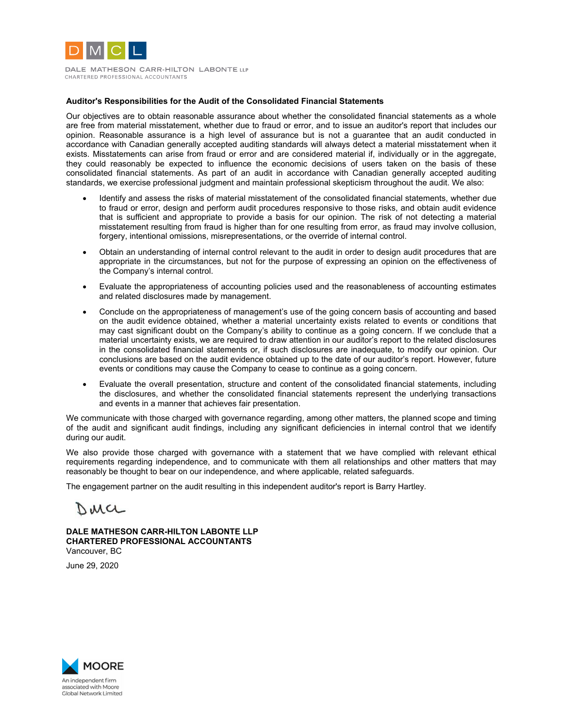

DALE MATHESON CARR-HILTON LABONTE UP CHARTERED PROFESSIONAL ACCOUNTANTS

### **Auditor's Responsibilities for the Audit of the Consolidated Financial Statements**

Our objectives are to obtain reasonable assurance about whether the consolidated financial statements as a whole are free from material misstatement, whether due to fraud or error, and to issue an auditor's report that includes our opinion. Reasonable assurance is a high level of assurance but is not a guarantee that an audit conducted in accordance with Canadian generally accepted auditing standards will always detect a material misstatement when it exists. Misstatements can arise from fraud or error and are considered material if, individually or in the aggregate, they could reasonably be expected to influence the economic decisions of users taken on the basis of these consolidated financial statements. As part of an audit in accordance with Canadian generally accepted auditing standards, we exercise professional judgment and maintain professional skepticism throughout the audit. We also:

- Identify and assess the risks of material misstatement of the consolidated financial statements, whether due to fraud or error, design and perform audit procedures responsive to those risks, and obtain audit evidence that is sufficient and appropriate to provide a basis for our opinion. The risk of not detecting a material misstatement resulting from fraud is higher than for one resulting from error, as fraud may involve collusion, forgery, intentional omissions, misrepresentations, or the override of internal control.
- Obtain an understanding of internal control relevant to the audit in order to design audit procedures that are appropriate in the circumstances, but not for the purpose of expressing an opinion on the effectiveness of the Company's internal control.
- Evaluate the appropriateness of accounting policies used and the reasonableness of accounting estimates and related disclosures made by management.
- Conclude on the appropriateness of management's use of the going concern basis of accounting and based on the audit evidence obtained, whether a material uncertainty exists related to events or conditions that may cast significant doubt on the Company's ability to continue as a going concern. If we conclude that a material uncertainty exists, we are required to draw attention in our auditor's report to the related disclosures in the consolidated financial statements or, if such disclosures are inadequate, to modify our opinion. Our conclusions are based on the audit evidence obtained up to the date of our auditor's report. However, future events or conditions may cause the Company to cease to continue as a going concern.
- Evaluate the overall presentation, structure and content of the consolidated financial statements, including the disclosures, and whether the consolidated financial statements represent the underlying transactions and events in a manner that achieves fair presentation.

We communicate with those charged with governance regarding, among other matters, the planned scope and timing of the audit and significant audit findings, including any significant deficiencies in internal control that we identify during our audit.

We also provide those charged with governance with a statement that we have complied with relevant ethical requirements regarding independence, and to communicate with them all relationships and other matters that may reasonably be thought to bear on our independence, and where applicable, related safeguards.

The engagement partner on the audit resulting in this independent auditor's report is Barry Hartley*.*

Duce

**DALE MATHESON CARR-HILTON LABONTE LLP CHARTERED PROFESSIONAL ACCOUNTANTS** Vancouver, BC

June 29, 2020

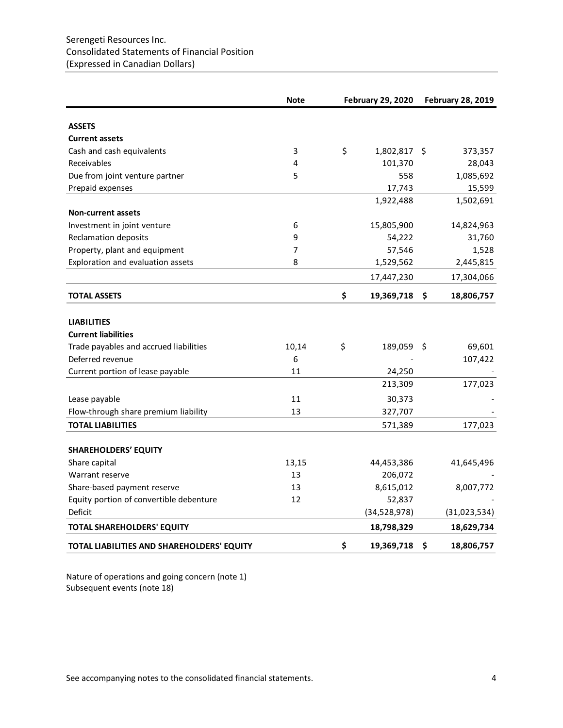|                                            | <b>Note</b> | <b>February 29, 2020</b> | <b>February 28, 2019</b> |  |  |
|--------------------------------------------|-------------|--------------------------|--------------------------|--|--|
| <b>ASSETS</b>                              |             |                          |                          |  |  |
| <b>Current assets</b>                      |             |                          |                          |  |  |
| Cash and cash equivalents                  | 3           | \$<br>1,802,817 \$       | 373,357                  |  |  |
| Receivables                                | 4           | 101,370                  | 28,043                   |  |  |
| Due from joint venture partner             | 5           | 558                      | 1,085,692                |  |  |
| Prepaid expenses                           |             | 17,743                   | 15,599                   |  |  |
|                                            |             | 1,922,488                | 1,502,691                |  |  |
| <b>Non-current assets</b>                  |             |                          |                          |  |  |
| Investment in joint venture                | 6           | 15,805,900               | 14,824,963               |  |  |
| <b>Reclamation deposits</b>                | 9           | 54,222                   | 31,760                   |  |  |
| Property, plant and equipment              | 7           | 57,546                   | 1,528                    |  |  |
| Exploration and evaluation assets          | 8           | 1,529,562                | 2,445,815                |  |  |
|                                            |             | 17,447,230               | 17,304,066               |  |  |
| <b>TOTAL ASSETS</b>                        |             | \$<br>19,369,718         | -\$<br>18,806,757        |  |  |
|                                            |             |                          |                          |  |  |
| <b>LIABILITIES</b>                         |             |                          |                          |  |  |
| <b>Current liabilities</b>                 |             |                          |                          |  |  |
| Trade payables and accrued liabilities     | 10,14       | \$<br>189,059            | 69,601<br>-\$            |  |  |
| Deferred revenue                           | 6           |                          | 107,422                  |  |  |
| Current portion of lease payable           | 11          | 24,250                   |                          |  |  |
|                                            |             | 213,309                  | 177,023                  |  |  |
| Lease payable                              | 11          | 30,373                   |                          |  |  |
| Flow-through share premium liability       | 13          | 327,707                  |                          |  |  |
| <b>TOTAL LIABILITIES</b>                   |             | 571,389                  | 177,023                  |  |  |
|                                            |             |                          |                          |  |  |
| <b>SHAREHOLDERS' EQUITY</b>                |             |                          |                          |  |  |
| Share capital                              | 13,15       | 44,453,386               | 41,645,496               |  |  |
| Warrant reserve                            | 13          | 206,072                  |                          |  |  |
| Share-based payment reserve                | 13          | 8,615,012                | 8,007,772                |  |  |
| Equity portion of convertible debenture    | 12          | 52,837                   |                          |  |  |
| Deficit                                    |             | (34,528,978)             | (31,023,534)             |  |  |
| <b>TOTAL SHAREHOLDERS' EQUITY</b>          |             | 18,798,329               | 18,629,734               |  |  |
| TOTAL LIABILITIES AND SHAREHOLDERS' EQUITY |             | \$<br>19,369,718         | \$<br>18,806,757         |  |  |

Nature of operations and going concern (note 1) Subsequent events (note 18)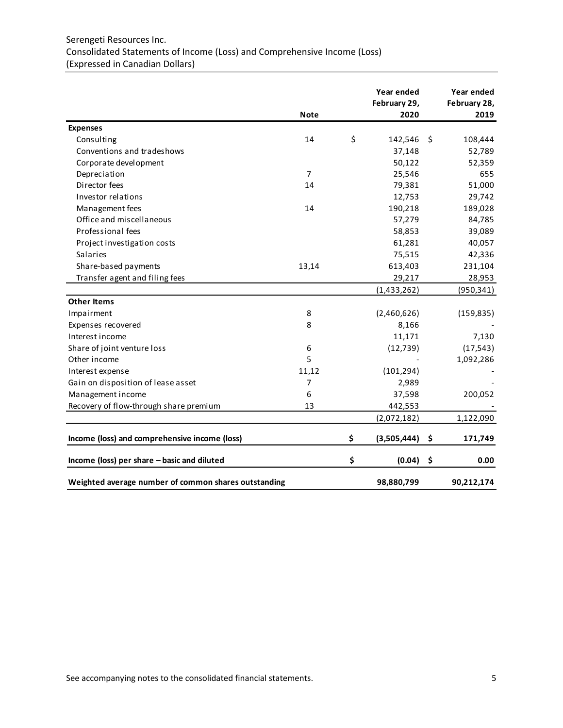# Serengeti Resources Inc. Consolidated Statements of Income (Loss) and Comprehensive Income (Loss) (Expressed in Canadian Dollars)

|                                                      |                | Year ended<br>February 29, |      | Year ended<br>February 28, |
|------------------------------------------------------|----------------|----------------------------|------|----------------------------|
|                                                      | <b>Note</b>    | 2020                       |      | 2019                       |
| <b>Expenses</b>                                      |                |                            |      |                            |
| Consulting                                           | 14             | \$<br>142,546              | \$   | 108,444                    |
| Conventions and tradeshows                           |                | 37,148                     |      | 52,789                     |
| Corporate development                                |                | 50,122                     |      | 52,359                     |
| Depreciation                                         | $\overline{7}$ | 25,546                     |      | 655                        |
| Director fees                                        | 14             | 79,381                     |      | 51,000                     |
| Investor relations                                   |                | 12,753                     |      | 29,742                     |
| Management fees                                      | 14             | 190,218                    |      | 189,028                    |
| Office and miscellaneous                             |                | 57,279                     |      | 84,785                     |
| Professional fees                                    |                | 58,853                     |      | 39,089                     |
| Project investigation costs                          |                | 61,281                     |      | 40,057                     |
| <b>Salaries</b>                                      |                | 75,515                     |      | 42,336                     |
| Share-based payments                                 | 13,14          | 613,403                    |      | 231,104                    |
| Transfer agent and filing fees                       |                | 29,217                     |      | 28,953                     |
|                                                      |                | (1,433,262)                |      | (950, 341)                 |
| <b>Other Items</b>                                   |                |                            |      |                            |
| Impairment                                           | 8              | (2,460,626)                |      | (159, 835)                 |
| Expenses recovered                                   | 8              | 8,166                      |      |                            |
| Interest income                                      |                | 11,171                     |      | 7,130                      |
| Share of joint venture loss                          | 6              | (12, 739)                  |      | (17, 543)                  |
| Other income                                         | 5              |                            |      | 1,092,286                  |
| Interest expense                                     | 11,12          | (101, 294)                 |      |                            |
| Gain on disposition of lease asset                   | 7              | 2,989                      |      |                            |
| Management income                                    | 6              | 37,598                     |      | 200,052                    |
| Recovery of flow-through share premium               | 13             | 442,553                    |      |                            |
|                                                      |                | (2,072,182)                |      | 1,122,090                  |
| Income (loss) and comprehensive income (loss)        |                | \$<br>(3,505,444)          | \$   | 171,749                    |
| Income (loss) per share - basic and diluted          |                | \$<br>(0.04)               | - \$ | 0.00                       |
| Weighted average number of common shares outstanding |                | 98,880,799                 |      | 90,212,174                 |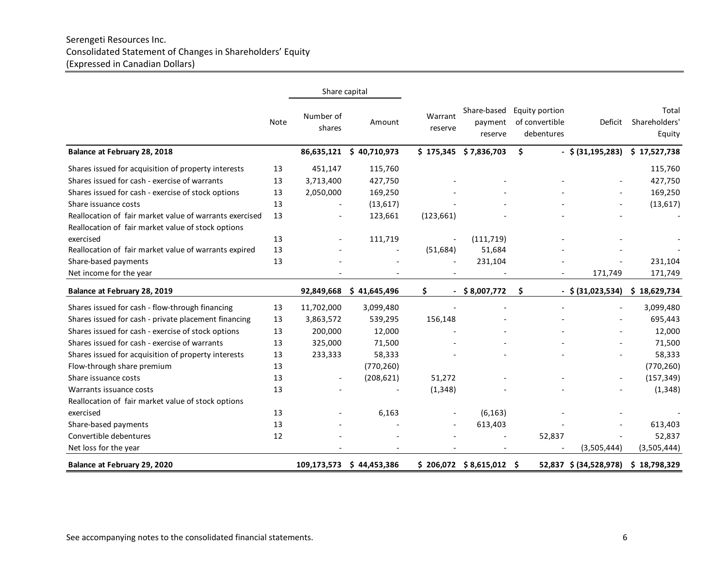# Serengeti Resources Inc. Consolidated Statement of Changes in Shareholders' Equity (Expressed in Canadian Dollars)

|                                                         |      | Share capital       |                          |                    |                                   |                                                |                        |                                  |
|---------------------------------------------------------|------|---------------------|--------------------------|--------------------|-----------------------------------|------------------------------------------------|------------------------|----------------------------------|
|                                                         | Note | Number of<br>shares | Amount                   | Warrant<br>reserve | Share-based<br>payment<br>reserve | Equity portion<br>of convertible<br>debentures | Deficit                | Total<br>Shareholders'<br>Equity |
| <b>Balance at February 28, 2018</b>                     |      | 86,635,121          | \$40,710,973             |                    | $$175,345$ $$7,836,703$           | \$                                             | $-$ \$ (31,195,283)    | \$17,527,738                     |
| Shares issued for acquisition of property interests     | 13   | 451,147             | 115,760                  |                    |                                   |                                                |                        | 115,760                          |
| Shares issued for cash - exercise of warrants           | 13   | 3,713,400           | 427,750                  |                    |                                   |                                                |                        | 427,750                          |
| Shares issued for cash - exercise of stock options      | 13   | 2,050,000           | 169,250                  |                    |                                   |                                                |                        | 169,250                          |
| Share issuance costs                                    | 13   |                     | (13,617)                 |                    |                                   |                                                |                        | (13, 617)                        |
| Reallocation of fair market value of warrants exercised | 13   |                     | 123,661                  | (123, 661)         |                                   |                                                |                        |                                  |
| Reallocation of fair market value of stock options      |      |                     |                          |                    |                                   |                                                |                        |                                  |
| exercised                                               | 13   |                     | 111,719                  |                    | (111, 719)                        |                                                |                        |                                  |
| Reallocation of fair market value of warrants expired   | 13   |                     | $\overline{\phantom{a}}$ | (51, 684)          | 51,684                            |                                                |                        |                                  |
| Share-based payments                                    | 13   |                     |                          |                    | 231,104                           |                                                |                        | 231,104                          |
| Net income for the year                                 |      |                     |                          |                    | $\overline{a}$                    |                                                | 171,749                | 171,749                          |
| Balance at February 28, 2019                            |      | 92,849,668          | \$41,645,496             | \$                 | $-$ \$8,007,772                   | \$                                             | $-$ \$ (31,023,534)    | \$18,629,734                     |
| Shares issued for cash - flow-through financing         | 13   | 11,702,000          | 3,099,480                |                    |                                   |                                                |                        | 3,099,480                        |
| Shares issued for cash - private placement financing    | 13   | 3,863,572           | 539,295                  | 156,148            |                                   |                                                |                        | 695,443                          |
| Shares issued for cash - exercise of stock options      | 13   | 200,000             | 12,000                   |                    |                                   |                                                |                        | 12,000                           |
| Shares issued for cash - exercise of warrants           | 13   | 325,000             | 71,500                   |                    |                                   |                                                |                        | 71,500                           |
| Shares issued for acquisition of property interests     | 13   | 233,333             | 58,333                   |                    |                                   |                                                |                        | 58,333                           |
| Flow-through share premium                              | 13   |                     | (770, 260)               |                    |                                   |                                                |                        | (770, 260)                       |
| Share issuance costs                                    | 13   | $\overline{a}$      | (208, 621)               | 51,272             |                                   |                                                |                        | (157, 349)                       |
| Warrants issuance costs                                 | 13   |                     |                          | (1, 348)           |                                   |                                                |                        | (1, 348)                         |
| Reallocation of fair market value of stock options      |      |                     |                          |                    |                                   |                                                |                        |                                  |
| exercised                                               | 13   |                     | 6,163                    |                    | (6, 163)                          |                                                |                        |                                  |
| Share-based payments                                    | 13   |                     |                          |                    | 613,403                           |                                                |                        | 613,403                          |
| Convertible debentures                                  | 12   |                     |                          |                    |                                   | 52,837                                         |                        | 52,837                           |
| Net loss for the year                                   |      |                     |                          |                    |                                   |                                                | (3,505,444)            | (3,505,444)                      |
| Balance at February 29, 2020                            |      |                     | 109,173,573 \$44,453,386 |                    | $$206,072$$ $$8,615,012$$         |                                                | 52,837 \$ (34,528,978) | \$18,798,329                     |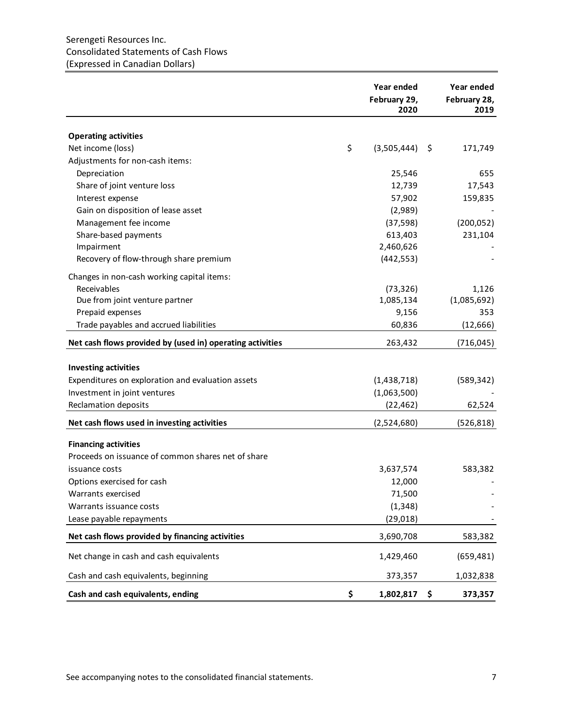# Serengeti Resources Inc. Consolidated Statements of Cash Flows (Expressed in Canadian Dollars)

|                                                           | Year ended<br>February 29,<br>2020 | Year ended<br>February 28,<br>2019 |
|-----------------------------------------------------------|------------------------------------|------------------------------------|
| <b>Operating activities</b>                               |                                    |                                    |
| Net income (loss)                                         | \$<br>(3,505,444)                  | \$<br>171,749                      |
| Adjustments for non-cash items:                           |                                    |                                    |
| Depreciation                                              | 25,546                             | 655                                |
| Share of joint venture loss                               | 12,739                             | 17,543                             |
| Interest expense                                          | 57,902                             | 159,835                            |
| Gain on disposition of lease asset                        | (2,989)                            |                                    |
| Management fee income                                     | (37, 598)                          | (200, 052)                         |
| Share-based payments                                      | 613,403                            | 231,104                            |
| Impairment                                                | 2,460,626                          |                                    |
| Recovery of flow-through share premium                    | (442, 553)                         |                                    |
| Changes in non-cash working capital items:                |                                    |                                    |
| Receivables                                               | (73, 326)                          | 1,126                              |
| Due from joint venture partner                            | 1,085,134                          | (1,085,692)                        |
| Prepaid expenses                                          | 9,156                              | 353                                |
| Trade payables and accrued liabilities                    | 60,836                             | (12,666)                           |
| Net cash flows provided by (used in) operating activities | 263,432                            | (716, 045)                         |
| <b>Investing activities</b>                               |                                    |                                    |
| Expenditures on exploration and evaluation assets         | (1,438,718)                        | (589, 342)                         |
| Investment in joint ventures                              | (1,063,500)                        |                                    |
| <b>Reclamation deposits</b>                               | (22, 462)                          | 62,524                             |
| Net cash flows used in investing activities               | (2,524,680)                        | (526, 818)                         |
| <b>Financing activities</b>                               |                                    |                                    |
| Proceeds on issuance of common shares net of share        |                                    |                                    |
| issuance costs                                            | 3,637,574                          | 583,382                            |
| Options exercised for cash                                | 12,000                             |                                    |
| Warrants exercised                                        | 71,500                             |                                    |
| Warrants issuance costs                                   | (1, 348)                           |                                    |
| Lease payable repayments                                  | (29, 018)                          |                                    |
| Net cash flows provided by financing activities           | 3,690,708                          | 583,382                            |
| Net change in cash and cash equivalents                   | 1,429,460                          | (659, 481)                         |
| Cash and cash equivalents, beginning                      | 373,357                            | 1,032,838                          |
| Cash and cash equivalents, ending                         | \$<br>1,802,817                    | \$<br>373,357                      |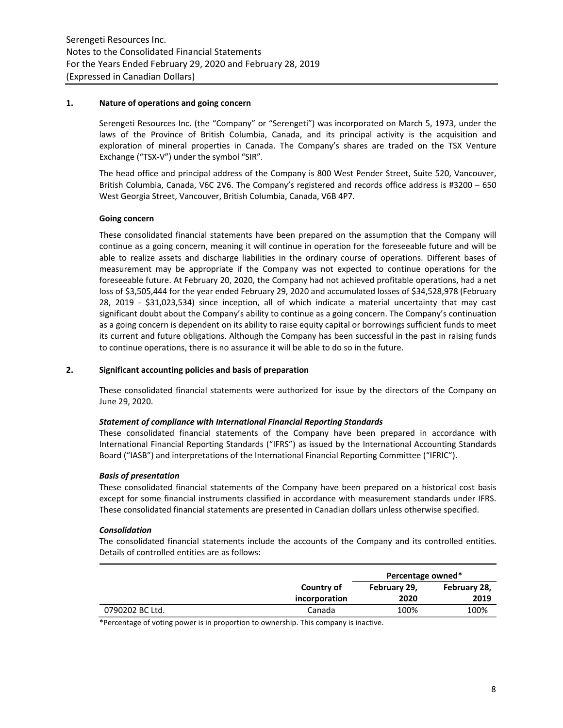### **1. Nature of operations and going concern**

Serengeti Resources Inc. (the "Company" or "Serengeti") was incorporated on March 5, 1973, under the laws of the Province of British Columbia, Canada, and its principal activity is the acquisition and exploration of mineral properties in Canada. The Company's shares are traded on the TSX Venture Exchange ("TSX-V") under the symbol "SIR".

The head office and principal address of the Company is 800 West Pender Street, Suite 520, Vancouver, British Columbia, Canada, V6C 2V6. The Company's registered and records office address is #3200 – 650 West Georgia Street, Vancouver, British Columbia, Canada, V6B 4P7.

### **Going concern**

These consolidated financial statements have been prepared on the assumption that the Company will continue as a going concern, meaning it will continue in operation for the foreseeable future and will be able to realize assets and discharge liabilities in the ordinary course of operations. Different bases of measurement may be appropriate if the Company was not expected to continue operations for the foreseeable future. At February 20, 2020, the Company had not achieved profitable operations, had a net loss of \$3,505,444 for the year ended February 29, 2020 and accumulated losses of \$34,528,978 (February 28, 2019 - \$31,023,534) since inception, all of which indicate a material uncertainty that may cast significant doubt about the Company's ability to continue as a going concern. The Company's continuation as a going concern is dependent on its ability to raise equity capital or borrowings sufficient funds to meet its current and future obligations. Although the Company has been successful in the past in raising funds to continue operations, there is no assurance it will be able to do so in the future.

## **2. Significant accounting policies and basis of preparation**

These consolidated financial statements were authorized for issue by the directors of the Company on June 29, 2020.

#### *Statement of compliance with International Financial Reporting Standards*

These consolidated financial statements of the Company have been prepared in accordance with International Financial Reporting Standards ("IFRS") as issued by the International Accounting Standards Board ("IASB") and interpretations of the International Financial Reporting Committee ("IFRIC").

### *Basis of presentation*

These consolidated financial statements of the Company have been prepared on a historical cost basis except for some financial instruments classified in accordance with measurement standards under IFRS. These consolidated financial statements are presented in Canadian dollars unless otherwise specified.

### *Consolidation*

The consolidated financial statements include the accounts of the Company and its controlled entities. Details of controlled entities are as follows:

|                 |               | Percentage owned* |              |
|-----------------|---------------|-------------------|--------------|
|                 | Country of    | February 29,      | February 28, |
|                 | incorporation | 2020              | 2019         |
| 0790202 BC Ltd. | Canada        | 100%              | 100%         |

\*Percentage of voting power is in proportion to ownership. This company is inactive.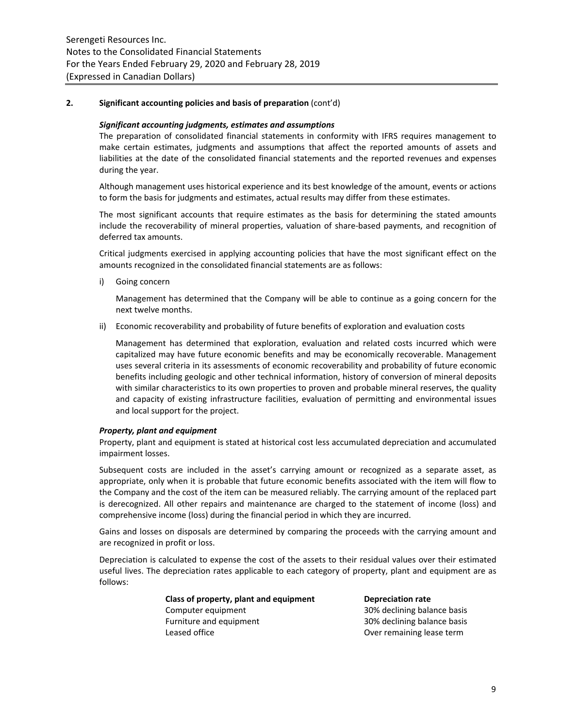### *Significant accounting judgments, estimates and assumptions*

The preparation of consolidated financial statements in conformity with IFRS requires management to make certain estimates, judgments and assumptions that affect the reported amounts of assets and liabilities at the date of the consolidated financial statements and the reported revenues and expenses during the year.

Although management uses historical experience and its best knowledge of the amount, events or actions to form the basis for judgments and estimates, actual results may differ from these estimates.

The most significant accounts that require estimates as the basis for determining the stated amounts include the recoverability of mineral properties, valuation of share-based payments, and recognition of deferred tax amounts.

Critical judgments exercised in applying accounting policies that have the most significant effect on the amounts recognized in the consolidated financial statements are as follows:

i) Going concern

Management has determined that the Company will be able to continue as a going concern for the next twelve months.

ii) Economic recoverability and probability of future benefits of exploration and evaluation costs

Management has determined that exploration, evaluation and related costs incurred which were capitalized may have future economic benefits and may be economically recoverable. Management uses several criteria in its assessments of economic recoverability and probability of future economic benefits including geologic and other technical information, history of conversion of mineral deposits with similar characteristics to its own properties to proven and probable mineral reserves, the quality and capacity of existing infrastructure facilities, evaluation of permitting and environmental issues and local support for the project.

#### *Property, plant and equipment*

Property, plant and equipment is stated at historical cost less accumulated depreciation and accumulated impairment losses.

Subsequent costs are included in the asset's carrying amount or recognized as a separate asset, as appropriate, only when it is probable that future economic benefits associated with the item will flow to the Company and the cost of the item can be measured reliably. The carrying amount of the replaced part is derecognized. All other repairs and maintenance are charged to the statement of income (loss) and comprehensive income (loss) during the financial period in which they are incurred.

Gains and losses on disposals are determined by comparing the proceeds with the carrying amount and are recognized in profit or loss.

Depreciation is calculated to expense the cost of the assets to their residual values over their estimated useful lives. The depreciation rates applicable to each category of property, plant and equipment are as follows:

> **Class of property, plant and equipment Depreciation rate** Computer equipment Computer equipment Furniture and equipment 30% declining balance basis Leased office **Contact Contact Contact Contact Contact Contact Contact Contact Contact Contact Contact Contact Contact Contact Contact Contact Contact Contact Contact Contact Contact Contact Contact Contact Contact Contact**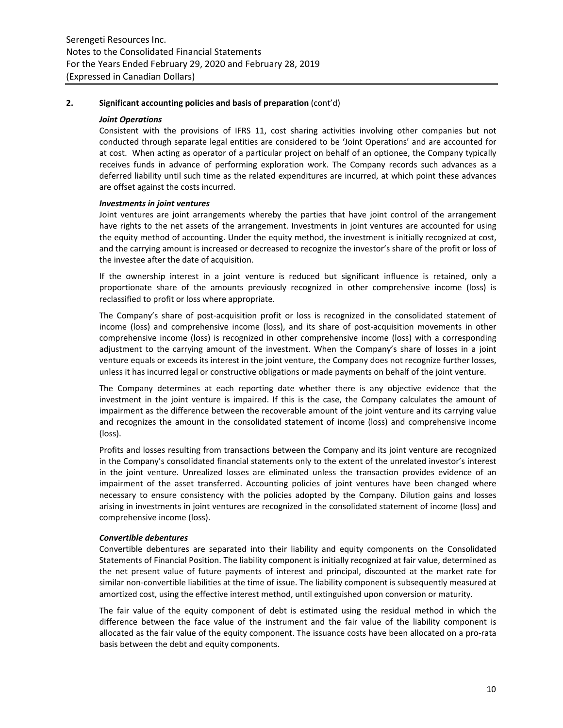#### *Joint Operations*

Consistent with the provisions of IFRS 11, cost sharing activities involving other companies but not conducted through separate legal entities are considered to be 'Joint Operations' and are accounted for at cost. When acting as operator of a particular project on behalf of an optionee, the Company typically receives funds in advance of performing exploration work. The Company records such advances as a deferred liability until such time as the related expenditures are incurred, at which point these advances are offset against the costs incurred.

#### *Investments in joint ventures*

Joint ventures are joint arrangements whereby the parties that have joint control of the arrangement have rights to the net assets of the arrangement. Investments in joint ventures are accounted for using the equity method of accounting. Under the equity method, the investment is initially recognized at cost, and the carrying amount is increased or decreased to recognize the investor's share of the profit or loss of the investee after the date of acquisition.

If the ownership interest in a joint venture is reduced but significant influence is retained, only a proportionate share of the amounts previously recognized in other comprehensive income (loss) is reclassified to profit or loss where appropriate.

The Company's share of post-acquisition profit or loss is recognized in the consolidated statement of income (loss) and comprehensive income (loss), and its share of post-acquisition movements in other comprehensive income (loss) is recognized in other comprehensive income (loss) with a corresponding adjustment to the carrying amount of the investment. When the Company's share of losses in a joint venture equals or exceeds its interest in the joint venture, the Company does not recognize further losses, unless it has incurred legal or constructive obligations or made payments on behalf of the joint venture.

The Company determines at each reporting date whether there is any objective evidence that the investment in the joint venture is impaired. If this is the case, the Company calculates the amount of impairment as the difference between the recoverable amount of the joint venture and its carrying value and recognizes the amount in the consolidated statement of income (loss) and comprehensive income (loss).

Profits and losses resulting from transactions between the Company and its joint venture are recognized in the Company's consolidated financial statements only to the extent of the unrelated investor's interest in the joint venture. Unrealized losses are eliminated unless the transaction provides evidence of an impairment of the asset transferred. Accounting policies of joint ventures have been changed where necessary to ensure consistency with the policies adopted by the Company. Dilution gains and losses arising in investments in joint ventures are recognized in the consolidated statement of income (loss) and comprehensive income (loss).

#### *Convertible debentures*

Convertible debentures are separated into their liability and equity components on the Consolidated Statements of Financial Position. The liability component is initially recognized at fair value, determined as the net present value of future payments of interest and principal, discounted at the market rate for similar non-convertible liabilities at the time of issue. The liability component is subsequently measured at amortized cost, using the effective interest method, until extinguished upon conversion or maturity.

The fair value of the equity component of debt is estimated using the residual method in which the difference between the face value of the instrument and the fair value of the liability component is allocated as the fair value of the equity component. The issuance costs have been allocated on a pro-rata basis between the debt and equity components.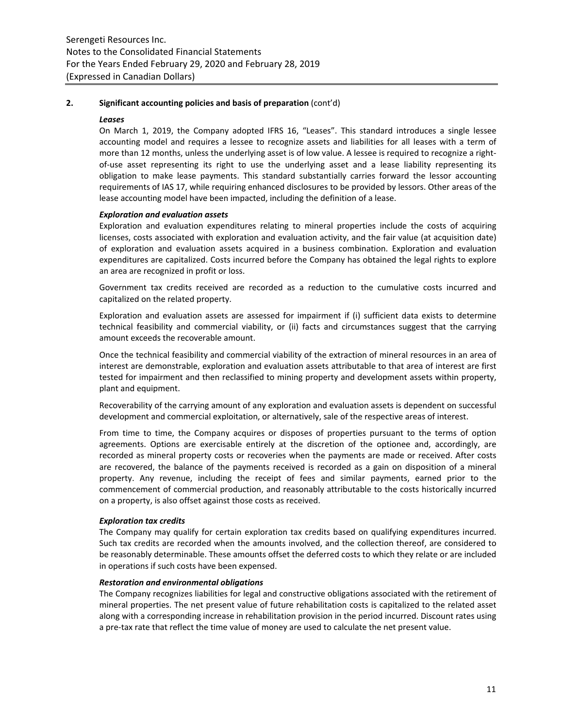#### *Leases*

On March 1, 2019, the Company adopted IFRS 16, "Leases". This standard introduces a single lessee accounting model and requires a lessee to recognize assets and liabilities for all leases with a term of more than 12 months, unless the underlying asset is of low value. A lessee is required to recognize a rightof-use asset representing its right to use the underlying asset and a lease liability representing its obligation to make lease payments. This standard substantially carries forward the lessor accounting requirements of IAS 17, while requiring enhanced disclosures to be provided by lessors. Other areas of the lease accounting model have been impacted, including the definition of a lease.

### *Exploration and evaluation assets*

Exploration and evaluation expenditures relating to mineral properties include the costs of acquiring licenses, costs associated with exploration and evaluation activity, and the fair value (at acquisition date) of exploration and evaluation assets acquired in a business combination. Exploration and evaluation expenditures are capitalized. Costs incurred before the Company has obtained the legal rights to explore an area are recognized in profit or loss.

Government tax credits received are recorded as a reduction to the cumulative costs incurred and capitalized on the related property.

Exploration and evaluation assets are assessed for impairment if (i) sufficient data exists to determine technical feasibility and commercial viability, or (ii) facts and circumstances suggest that the carrying amount exceeds the recoverable amount.

Once the technical feasibility and commercial viability of the extraction of mineral resources in an area of interest are demonstrable, exploration and evaluation assets attributable to that area of interest are first tested for impairment and then reclassified to mining property and development assets within property, plant and equipment.

Recoverability of the carrying amount of any exploration and evaluation assets is dependent on successful development and commercial exploitation, or alternatively, sale of the respective areas of interest.

From time to time, the Company acquires or disposes of properties pursuant to the terms of option agreements. Options are exercisable entirely at the discretion of the optionee and, accordingly, are recorded as mineral property costs or recoveries when the payments are made or received. After costs are recovered, the balance of the payments received is recorded as a gain on disposition of a mineral property. Any revenue, including the receipt of fees and similar payments, earned prior to the commencement of commercial production, and reasonably attributable to the costs historically incurred on a property, is also offset against those costs as received.

#### *Exploration tax credits*

The Company may qualify for certain exploration tax credits based on qualifying expenditures incurred. Such tax credits are recorded when the amounts involved, and the collection thereof, are considered to be reasonably determinable. These amounts offset the deferred costs to which they relate or are included in operations if such costs have been expensed.

#### *Restoration and environmental obligations*

The Company recognizes liabilities for legal and constructive obligations associated with the retirement of mineral properties. The net present value of future rehabilitation costs is capitalized to the related asset along with a corresponding increase in rehabilitation provision in the period incurred. Discount rates using a pre-tax rate that reflect the time value of money are used to calculate the net present value.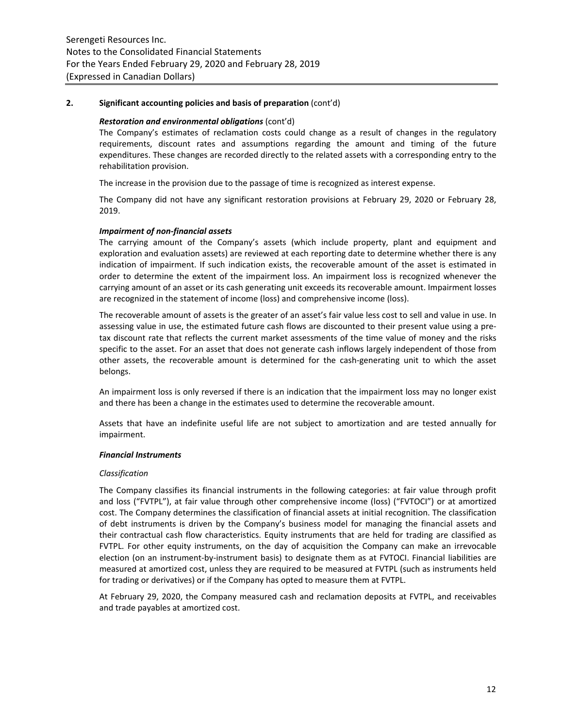#### *Restoration and environmental obligations* (cont'd)

The Company's estimates of reclamation costs could change as a result of changes in the regulatory requirements, discount rates and assumptions regarding the amount and timing of the future expenditures. These changes are recorded directly to the related assets with a corresponding entry to the rehabilitation provision.

The increase in the provision due to the passage of time is recognized as interest expense.

The Company did not have any significant restoration provisions at February 29, 2020 or February 28, 2019.

### *Impairment of non-financial assets*

The carrying amount of the Company's assets (which include property, plant and equipment and exploration and evaluation assets) are reviewed at each reporting date to determine whether there is any indication of impairment. If such indication exists, the recoverable amount of the asset is estimated in order to determine the extent of the impairment loss. An impairment loss is recognized whenever the carrying amount of an asset or its cash generating unit exceeds its recoverable amount. Impairment losses are recognized in the statement of income (loss) and comprehensive income (loss).

The recoverable amount of assets is the greater of an asset's fair value less cost to sell and value in use. In assessing value in use, the estimated future cash flows are discounted to their present value using a pretax discount rate that reflects the current market assessments of the time value of money and the risks specific to the asset. For an asset that does not generate cash inflows largely independent of those from other assets, the recoverable amount is determined for the cash-generating unit to which the asset belongs.

An impairment loss is only reversed if there is an indication that the impairment loss may no longer exist and there has been a change in the estimates used to determine the recoverable amount.

Assets that have an indefinite useful life are not subject to amortization and are tested annually for impairment.

### *Financial Instruments*

#### *Classification*

The Company classifies its financial instruments in the following categories: at fair value through profit and loss ("FVTPL"), at fair value through other comprehensive income (loss) ("FVTOCI") or at amortized cost. The Company determines the classification of financial assets at initial recognition. The classification of debt instruments is driven by the Company's business model for managing the financial assets and their contractual cash flow characteristics. Equity instruments that are held for trading are classified as FVTPL. For other equity instruments, on the day of acquisition the Company can make an irrevocable election (on an instrument-by-instrument basis) to designate them as at FVTOCI. Financial liabilities are measured at amortized cost, unless they are required to be measured at FVTPL (such as instruments held for trading or derivatives) or if the Company has opted to measure them at FVTPL.

At February 29, 2020, the Company measured cash and reclamation deposits at FVTPL, and receivables and trade payables at amortized cost.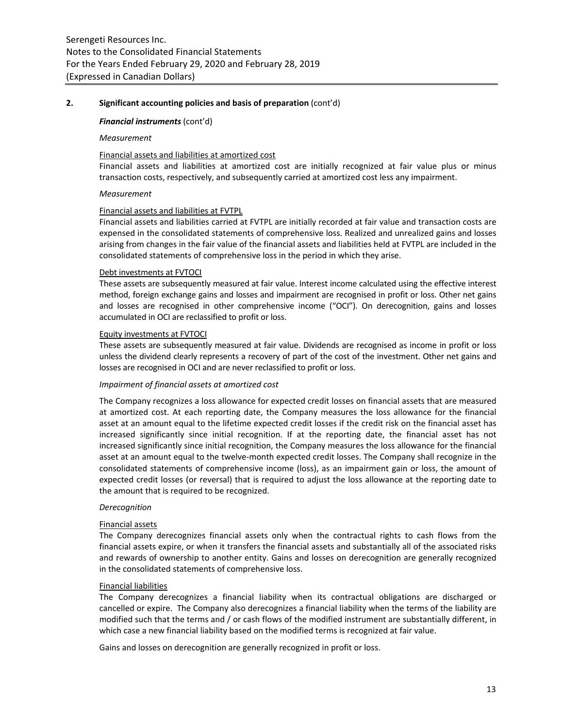#### *Financial instruments* (cont'd)

#### *Measurement*

### Financial assets and liabilities at amortized cost

Financial assets and liabilities at amortized cost are initially recognized at fair value plus or minus transaction costs, respectively, and subsequently carried at amortized cost less any impairment.

#### *Measurement*

#### Financial assets and liabilities at FVTPL

Financial assets and liabilities carried at FVTPL are initially recorded at fair value and transaction costs are expensed in the consolidated statements of comprehensive loss. Realized and unrealized gains and losses arising from changes in the fair value of the financial assets and liabilities held at FVTPL are included in the consolidated statements of comprehensive loss in the period in which they arise.

#### Debt investments at FVTOCI

These assets are subsequently measured at fair value. Interest income calculated using the effective interest method, foreign exchange gains and losses and impairment are recognised in profit or loss. Other net gains and losses are recognised in other comprehensive income ("OCI"). On derecognition, gains and losses accumulated in OCI are reclassified to profit or loss.

#### Equity investments at FVTOCI

These assets are subsequently measured at fair value. Dividends are recognised as income in profit or loss unless the dividend clearly represents a recovery of part of the cost of the investment. Other net gains and losses are recognised in OCI and are never reclassified to profit or loss.

### *Impairment of financial assets at amortized cost*

The Company recognizes a loss allowance for expected credit losses on financial assets that are measured at amortized cost. At each reporting date, the Company measures the loss allowance for the financial asset at an amount equal to the lifetime expected credit losses if the credit risk on the financial asset has increased significantly since initial recognition. If at the reporting date, the financial asset has not increased significantly since initial recognition, the Company measures the loss allowance for the financial asset at an amount equal to the twelve-month expected credit losses. The Company shall recognize in the consolidated statements of comprehensive income (loss), as an impairment gain or loss, the amount of expected credit losses (or reversal) that is required to adjust the loss allowance at the reporting date to the amount that is required to be recognized.

#### *Derecognition*

#### Financial assets

The Company derecognizes financial assets only when the contractual rights to cash flows from the financial assets expire, or when it transfers the financial assets and substantially all of the associated risks and rewards of ownership to another entity. Gains and losses on derecognition are generally recognized in the consolidated statements of comprehensive loss.

#### Financial liabilities

The Company derecognizes a financial liability when its contractual obligations are discharged or cancelled or expire. The Company also derecognizes a financial liability when the terms of the liability are modified such that the terms and / or cash flows of the modified instrument are substantially different, in which case a new financial liability based on the modified terms is recognized at fair value.

Gains and losses on derecognition are generally recognized in profit or loss.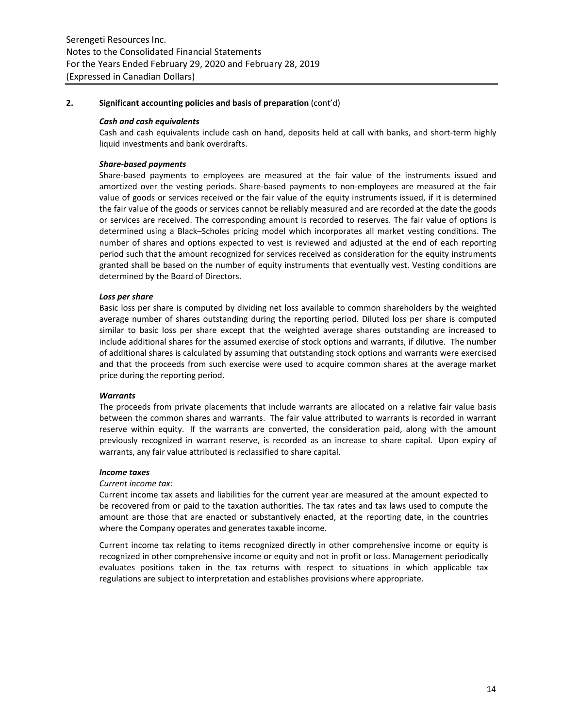### *Cash and cash equivalents*

Cash and cash equivalents include cash on hand, deposits held at call with banks, and short-term highly liquid investments and bank overdrafts.

## *Share-based payments*

Share-based payments to employees are measured at the fair value of the instruments issued and amortized over the vesting periods. Share-based payments to non-employees are measured at the fair value of goods or services received or the fair value of the equity instruments issued, if it is determined the fair value of the goods or services cannot be reliably measured and are recorded at the date the goods or services are received. The corresponding amount is recorded to reserves. The fair value of options is determined using a Black–Scholes pricing model which incorporates all market vesting conditions. The number of shares and options expected to vest is reviewed and adjusted at the end of each reporting period such that the amount recognized for services received as consideration for the equity instruments granted shall be based on the number of equity instruments that eventually vest. Vesting conditions are determined by the Board of Directors.

#### *Loss per share*

Basic loss per share is computed by dividing net loss available to common shareholders by the weighted average number of shares outstanding during the reporting period. Diluted loss per share is computed similar to basic loss per share except that the weighted average shares outstanding are increased to include additional shares for the assumed exercise of stock options and warrants, if dilutive. The number of additional shares is calculated by assuming that outstanding stock options and warrants were exercised and that the proceeds from such exercise were used to acquire common shares at the average market price during the reporting period.

#### *Warrants*

The proceeds from private placements that include warrants are allocated on a relative fair value basis between the common shares and warrants. The fair value attributed to warrants is recorded in warrant reserve within equity. If the warrants are converted, the consideration paid, along with the amount previously recognized in warrant reserve, is recorded as an increase to share capital. Upon expiry of warrants, any fair value attributed is reclassified to share capital.

#### *Income taxes*

#### *Current income tax:*

Current income tax assets and liabilities for the current year are measured at the amount expected to be recovered from or paid to the taxation authorities. The tax rates and tax laws used to compute the amount are those that are enacted or substantively enacted, at the reporting date, in the countries where the Company operates and generates taxable income.

Current income tax relating to items recognized directly in other comprehensive income or equity is recognized in other comprehensive income or equity and not in profit or loss. Management periodically evaluates positions taken in the tax returns with respect to situations in which applicable tax regulations are subject to interpretation and establishes provisions where appropriate.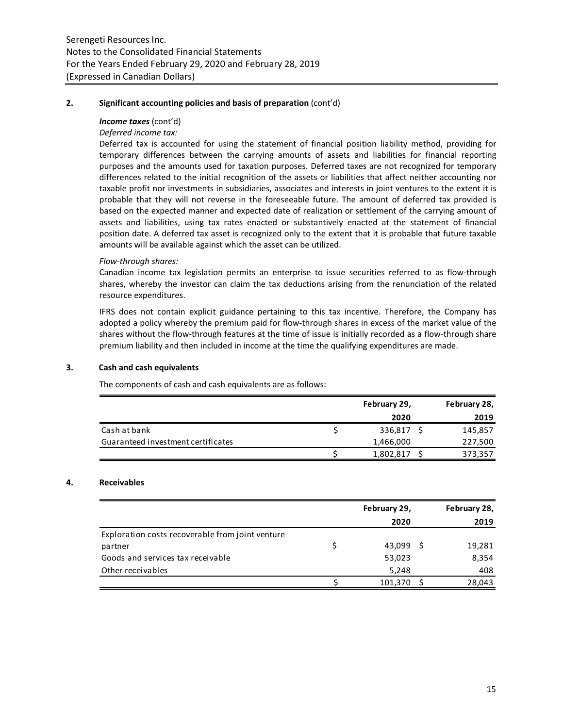# *Income taxes* (cont'd)

### *Deferred income tax:*

Deferred tax is accounted for using the statement of financial position liability method, providing for temporary differences between the carrying amounts of assets and liabilities for financial reporting purposes and the amounts used for taxation purposes. Deferred taxes are not recognized for temporary differences related to the initial recognition of the assets or liabilities that affect neither accounting nor taxable profit nor investments in subsidiaries, associates and interests in joint ventures to the extent it is probable that they will not reverse in the foreseeable future. The amount of deferred tax provided is based on the expected manner and expected date of realization or settlement of the carrying amount of assets and liabilities, using tax rates enacted or substantively enacted at the statement of financial position date. A deferred tax asset is recognized only to the extent that it is probable that future taxable amounts will be available against which the asset can be utilized.

### *Flow-through shares:*

Canadian income tax legislation permits an enterprise to issue securities referred to as flow-through shares, whereby the investor can claim the tax deductions arising from the renunciation of the related resource expenditures.

IFRS does not contain explicit guidance pertaining to this tax incentive. Therefore, the Company has adopted a policy whereby the premium paid for flow-through shares in excess of the market value of the shares without the flow-through features at the time of issue is initially recorded as a flow-through share premium liability and then included in income at the time the qualifying expenditures are made.

### **3. Cash and cash equivalents**

The components of cash and cash equivalents are as follows:

|                                    | February 29, | February 28, |         |
|------------------------------------|--------------|--------------|---------|
|                                    | 2020         |              | 2019    |
| Cash at bank                       | 336,817      |              | 145,857 |
| Guaranteed investment certificates | 1,466,000    |              | 227,500 |
|                                    | 1,802,817    |              | 373,357 |

## **4. Receivables**

|                                                  |   | February 29, | February 28, |
|--------------------------------------------------|---|--------------|--------------|
|                                                  |   | 2020         | 2019         |
| Exploration costs recoverable from joint venture |   |              |              |
| partner                                          | Ś | 43,099       | 19,281       |
| Goods and services tax receivable                |   | 53,023       | 8,354        |
| Other receivables                                |   | 5,248        | 408          |
|                                                  |   | 101,370      | 28,043       |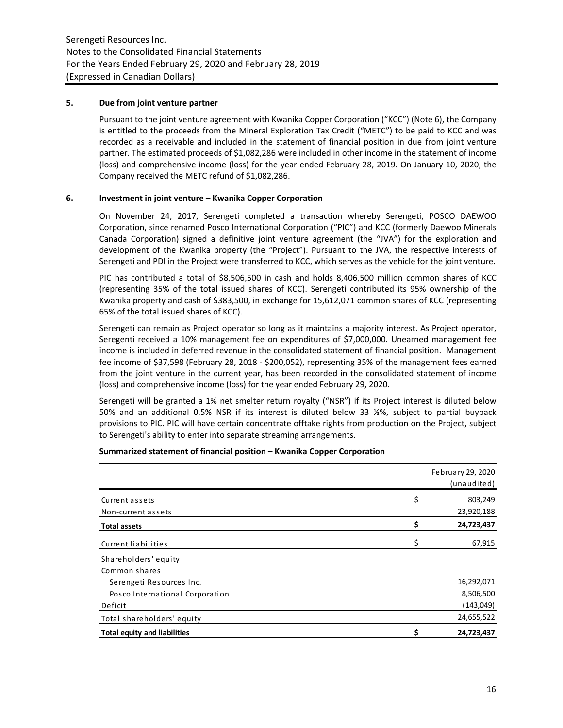### **5. Due from joint venture partner**

Pursuant to the joint venture agreement with Kwanika Copper Corporation ("KCC") (Note 6), the Company is entitled to the proceeds from the Mineral Exploration Tax Credit ("METC") to be paid to KCC and was recorded as a receivable and included in the statement of financial position in due from joint venture partner. The estimated proceeds of \$1,082,286 were included in other income in the statement of income (loss) and comprehensive income (loss) for the year ended February 28, 2019. On January 10, 2020, the Company received the METC refund of \$1,082,286.

## **6. Investment in joint venture – Kwanika Copper Corporation**

On November 24, 2017, Serengeti completed a transaction whereby Serengeti, POSCO DAEWOO Corporation, since renamed Posco International Corporation ("PIC") and KCC (formerly Daewoo Minerals Canada Corporation) signed a definitive joint venture agreement (the "JVA") for the exploration and development of the Kwanika property (the "Project"). Pursuant to the JVA, the respective interests of Serengeti and PDI in the Project were transferred to KCC, which serves as the vehicle for the joint venture.

PIC has contributed a total of \$8,506,500 in cash and holds 8,406,500 million common shares of KCC (representing 35% of the total issued shares of KCC). Serengeti contributed its 95% ownership of the Kwanika property and cash of \$383,500, in exchange for 15,612,071 common shares of KCC (representing 65% of the total issued shares of KCC).

Serengeti can remain as Project operator so long as it maintains a majority interest. As Project operator, Seregenti received a 10% management fee on expenditures of \$7,000,000. Unearned management fee income is included in deferred revenue in the consolidated statement of financial position. Management fee income of \$37,598 (February 28, 2018 - \$200,052), representing 35% of the management fees earned from the joint venture in the current year, has been recorded in the consolidated statement of income (loss) and comprehensive income (loss) for the year ended February 29, 2020.

Serengeti will be granted a 1% net smelter return royalty ("NSR") if its Project interest is diluted below 50% and an additional 0.5% NSR if its interest is diluted below 33 ⅓%, subject to partial buyback provisions to PIC. PIC will have certain concentrate offtake rights from production on the Project, subject to Serengeti's ability to enter into separate streaming arrangements.

#### **Summarized statement of financial position – Kwanika Copper Corporation**

|                                     | February 29, 2020 |
|-------------------------------------|-------------------|
|                                     | (unaudited)       |
| Current assets                      | \$<br>803,249     |
| Non-current assets                  | 23,920,188        |
| <b>Total assets</b>                 | \$<br>24,723,437  |
| Current liabilities                 | \$<br>67,915      |
| Shareholders' equity                |                   |
| Common shares                       |                   |
| Serengeti Resources Inc.            | 16,292,071        |
| Posco International Corporation     | 8,506,500         |
| Deficit                             | (143,049)         |
| Total shareholders' equity          | 24,655,522        |
| <b>Total equity and liabilities</b> | 24,723,437        |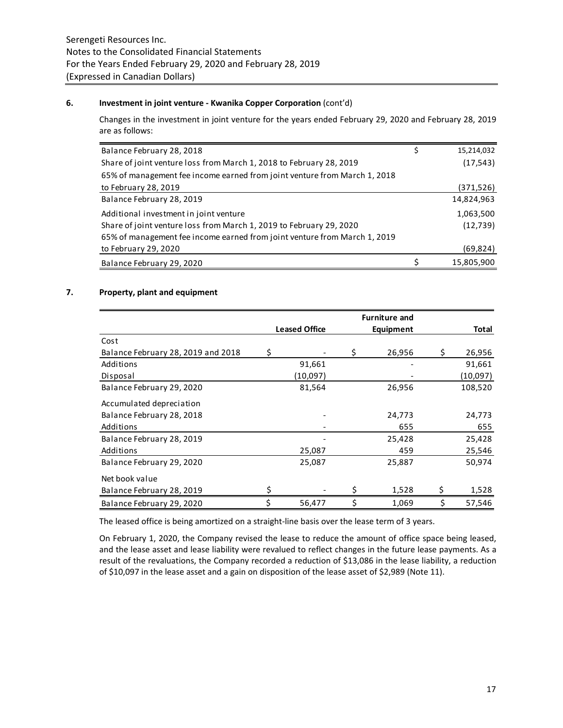# **6. Investment in joint venture - Kwanika Copper Corporation** (cont'd)

Changes in the investment in joint venture for the years ended February 29, 2020 and February 28, 2019 are as follows:

| Balance February 28, 2018                                                 | Ş | 15,214,032 |
|---------------------------------------------------------------------------|---|------------|
| Share of joint venture loss from March 1, 2018 to February 28, 2019       |   | (17, 543)  |
| 65% of management fee income earned from joint venture from March 1, 2018 |   |            |
| to February 28, 2019                                                      |   | (371,526)  |
| Balance February 28, 2019                                                 |   | 14,824,963 |
| Additional investment in joint venture                                    |   | 1,063,500  |
| Share of joint venture loss from March 1, 2019 to February 29, 2020       |   | (12, 739)  |
| 65% of management fee income earned from joint venture from March 1, 2019 |   |            |
| to February 29, 2020                                                      |   | (69,824)   |
| Balance February 29, 2020                                                 |   | 15,805,900 |

## **7. Property, plant and equipment**

|                                    | <b>Leased Office</b> | Equipment    |     | Total    |
|------------------------------------|----------------------|--------------|-----|----------|
| Cost                               |                      |              |     |          |
| Balance February 28, 2019 and 2018 | \$                   | \$<br>26,956 | \$. | 26,956   |
| Additions                          | 91,661               |              |     | 91,661   |
| Disposal                           | (10,097)             |              |     | (10,097) |
| Balance February 29, 2020          | 81,564               | 26,956       |     | 108,520  |
| Accumulated depreciation           |                      |              |     |          |
| Balance February 28, 2018          |                      | 24,773       |     | 24,773   |
| Additions                          |                      | 655          |     | 655      |
| Balance February 28, 2019          |                      | 25,428       |     | 25,428   |
| Additions                          | 25,087               | 459          |     | 25,546   |
| Balance February 29, 2020          | 25,087               | 25,887       |     | 50,974   |
| Net book value                     |                      |              |     |          |
| Balance February 28, 2019          | \$                   | \$<br>1,528  | \$  | 1,528    |
| Balance February 29, 2020          | \$<br>56,477         | 1,069        |     | 57,546   |

The leased office is being amortized on a straight-line basis over the lease term of 3 years.

On February 1, 2020, the Company revised the lease to reduce the amount of office space being leased, and the lease asset and lease liability were revalued to reflect changes in the future lease payments. As a result of the revaluations, the Company recorded a reduction of \$13,086 in the lease liability, a reduction of \$10,097 in the lease asset and a gain on disposition of the lease asset of \$2,989 (Note 11).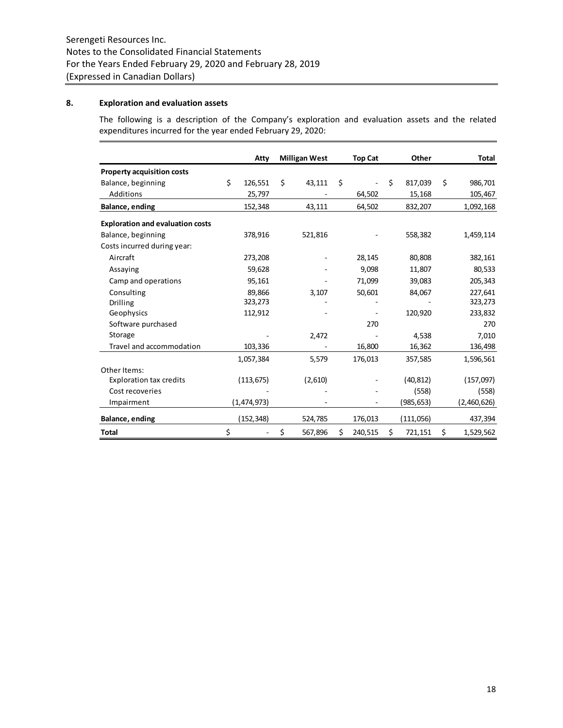# **8. Exploration and evaluation assets**

The following is a description of the Company's exploration and evaluation assets and the related expenditures incurred for the year ended February 29, 2020:

|                                         | Atty          |    | <b>Milligan West</b> | <b>Top Cat</b> |    | Other     |    | <b>Total</b> |
|-----------------------------------------|---------------|----|----------------------|----------------|----|-----------|----|--------------|
| <b>Property acquisition costs</b>       |               |    |                      |                |    |           |    |              |
| Balance, beginning                      | \$<br>126,551 | Ś. | 43,111               | \$             | Ś. | 817,039   | Ś. | 986,701      |
| Additions                               | 25,797        |    |                      | 64,502         |    | 15,168    |    | 105,467      |
| Balance, ending                         | 152,348       |    | 43,111               | 64,502         |    | 832,207   |    | 1,092,168    |
| <b>Exploration and evaluation costs</b> |               |    |                      |                |    |           |    |              |
| Balance, beginning                      | 378,916       |    | 521,816              |                |    | 558,382   |    | 1,459,114    |
| Costs incurred during year:             |               |    |                      |                |    |           |    |              |
| Aircraft                                | 273,208       |    |                      | 28,145         |    | 80,808    |    | 382,161      |
| Assaying                                | 59,628        |    |                      | 9,098          |    | 11,807    |    | 80,533       |
| Camp and operations                     | 95,161        |    |                      | 71,099         |    | 39,083    |    | 205,343      |
| Consulting                              | 89,866        |    | 3,107                | 50,601         |    | 84,067    |    | 227,641      |
| <b>Drilling</b>                         | 323,273       |    |                      |                |    |           |    | 323,273      |
| Geophysics                              | 112,912       |    |                      |                |    | 120,920   |    | 233,832      |
| Software purchased                      |               |    |                      | 270            |    |           |    | 270          |
| Storage                                 |               |    | 2,472                |                |    | 4,538     |    | 7,010        |
| Travel and accommodation                | 103,336       |    |                      | 16,800         |    | 16,362    |    | 136,498      |
|                                         | 1,057,384     |    | 5,579                | 176,013        |    | 357,585   |    | 1,596,561    |
| Other Items:                            |               |    |                      |                |    |           |    |              |
| <b>Exploration tax credits</b>          | (113, 675)    |    | (2,610)              |                |    | (40, 812) |    | (157,097)    |
| Cost recoveries                         |               |    |                      |                |    | (558)     |    | (558)        |
| Impairment                              | (1,474,973)   |    |                      |                |    | (985,653) |    | (2,460,626)  |
| Balance, ending                         | (152, 348)    |    | 524,785              | 176,013        |    | (111,056) |    | 437,394      |
| <b>Total</b>                            | \$            | \$ | 567,896              | \$<br>240,515  | \$ | 721,151   | \$ | 1,529,562    |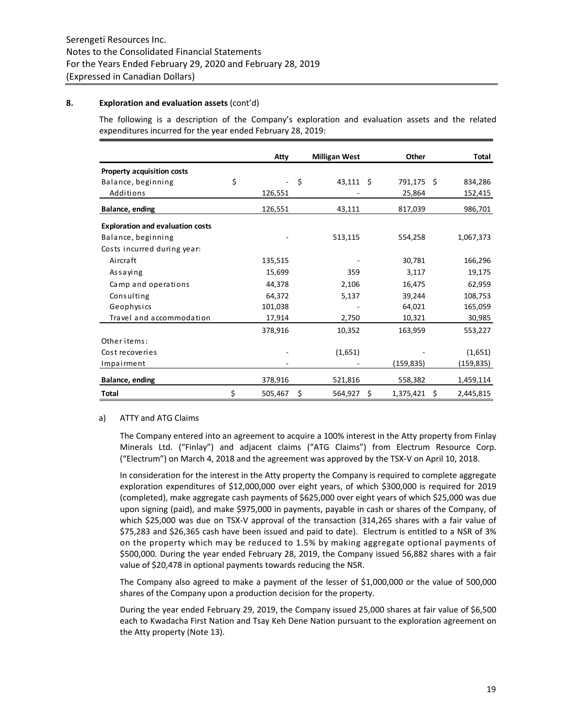# **8. Exploration and evaluation assets** (cont'd)

The following is a description of the Company's exploration and evaluation assets and the related expenditures incurred for the year ended February 28, 2019:

|                                         | Atty          | <b>Milligan West</b> | Other           |      | Total     |
|-----------------------------------------|---------------|----------------------|-----------------|------|-----------|
| Property acquisition costs              |               |                      |                 |      |           |
| Balance, beginning                      | \$            | \$<br>$43,111$ \$    | 791,175         | - \$ | 834,286   |
| Additions                               | 126,551       |                      | 25,864          |      | 152,415   |
| Balance, ending                         | 126,551       | 43,111               | 817,039         |      | 986,701   |
| <b>Exploration and evaluation costs</b> |               |                      |                 |      |           |
| Balance, beginning                      |               | 513,115              | 554,258         |      | 1,067,373 |
| Costs incurred during year:             |               |                      |                 |      |           |
| Ai rcraft                               | 135,515       |                      | 30,781          |      | 166,296   |
| Assaying                                | 15,699        | 359                  | 3,117           |      | 19,175    |
| Camp and operations                     | 44,378        | 2,106                | 16,475          |      | 62,959    |
| Consulting                              | 64,372        | 5,137                | 39,244          |      | 108,753   |
| Geophysics                              | 101,038       |                      | 64,021          |      | 165,059   |
| Travel and accommodation                | 17,914        | 2,750                | 10,321          |      | 30,985    |
|                                         | 378,916       | 10,352               | 163,959         |      | 553,227   |
| Other items:                            |               |                      |                 |      |           |
| Cost recoveries                         |               | (1,651)              |                 |      | (1,651)   |
| Impairment                              |               |                      | (159,835)       |      | (159,835) |
| Balance, ending                         | 378,916       | 521,816              | 558,382         |      | 1,459,114 |
| <b>Total</b>                            | \$<br>505,467 | \$<br>564,927        | \$<br>1,375,421 | \$   | 2,445,815 |

#### a) ATTY and ATG Claims

The Company entered into an agreement to acquire a 100% interest in the Atty property from Finlay Minerals Ltd. ("Finlay") and adjacent claims ("ATG Claims") from Electrum Resource Corp. ("Electrum") on March 4, 2018 and the agreement was approved by the TSX-V on April 10, 2018.

In consideration for the interest in the Atty property the Company is required to complete aggregate exploration expenditures of \$12,000,000 over eight years, of which \$300,000 is required for 2019 (completed), make aggregate cash payments of \$625,000 over eight years of which \$25,000 was due upon signing (paid), and make \$975,000 in payments, payable in cash or shares of the Company, of which \$25,000 was due on TSX-V approval of the transaction (314,265 shares with a fair value of \$75,283 and \$26,365 cash have been issued and paid to date). Electrum is entitled to a NSR of 3% on the property which may be reduced to 1.5% by making aggregate optional payments of \$500,000. During the year ended February 28, 2019, the Company issued 56,882 shares with a fair value of \$20,478 in optional payments towards reducing the NSR.

The Company also agreed to make a payment of the lesser of \$1,000,000 or the value of 500,000 shares of the Company upon a production decision for the property.

During the year ended February 29, 2019, the Company issued 25,000 shares at fair value of \$6,500 each to Kwadacha First Nation and Tsay Keh Dene Nation pursuant to the exploration agreement on the Atty property (Note 13).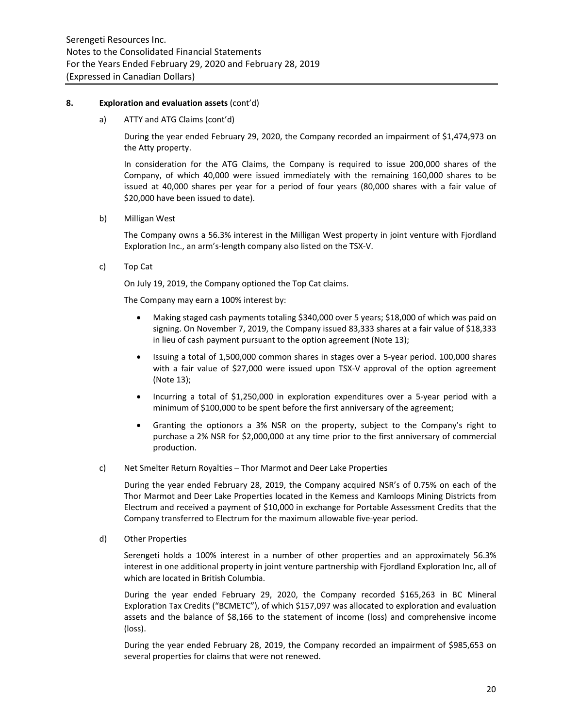### **8. Exploration and evaluation assets** (cont'd)

a) ATTY and ATG Claims (cont'd)

During the year ended February 29, 2020, the Company recorded an impairment of \$1,474,973 on the Atty property.

In consideration for the ATG Claims, the Company is required to issue 200,000 shares of the Company, of which 40,000 were issued immediately with the remaining 160,000 shares to be issued at 40,000 shares per year for a period of four years (80,000 shares with a fair value of \$20,000 have been issued to date).

b) Milligan West

The Company owns a 56.3% interest in the Milligan West property in joint venture with Fjordland Exploration Inc., an arm's-length company also listed on the TSX-V.

c) Top Cat

On July 19, 2019, the Company optioned the Top Cat claims.

The Company may earn a 100% interest by:

- Making staged cash payments totaling \$340,000 over 5 years; \$18,000 of which was paid on signing. On November 7, 2019, the Company issued 83,333 shares at a fair value of \$18,333 in lieu of cash payment pursuant to the option agreement (Note 13);
- Issuing a total of 1,500,000 common shares in stages over a 5-year period. 100,000 shares with a fair value of \$27,000 were issued upon TSX-V approval of the option agreement (Note 13);
- Incurring a total of \$1,250,000 in exploration expenditures over a 5-year period with a minimum of \$100,000 to be spent before the first anniversary of the agreement;
- Granting the optionors a 3% NSR on the property, subject to the Company's right to purchase a 2% NSR for \$2,000,000 at any time prior to the first anniversary of commercial production.
- c) Net Smelter Return Royalties Thor Marmot and Deer Lake Properties

During the year ended February 28, 2019, the Company acquired NSR's of 0.75% on each of the Thor Marmot and Deer Lake Properties located in the Kemess and Kamloops Mining Districts from Electrum and received a payment of \$10,000 in exchange for Portable Assessment Credits that the Company transferred to Electrum for the maximum allowable five-year period.

d) Other Properties

Serengeti holds a 100% interest in a number of other properties and an approximately 56.3% interest in one additional property in joint venture partnership with Fjordland Exploration Inc, all of which are located in British Columbia.

During the year ended February 29, 2020, the Company recorded \$165,263 in BC Mineral Exploration Tax Credits ("BCMETC"), of which \$157,097 was allocated to exploration and evaluation assets and the balance of \$8,166 to the statement of income (loss) and comprehensive income (loss).

During the year ended February 28, 2019, the Company recorded an impairment of \$985,653 on several properties for claims that were not renewed.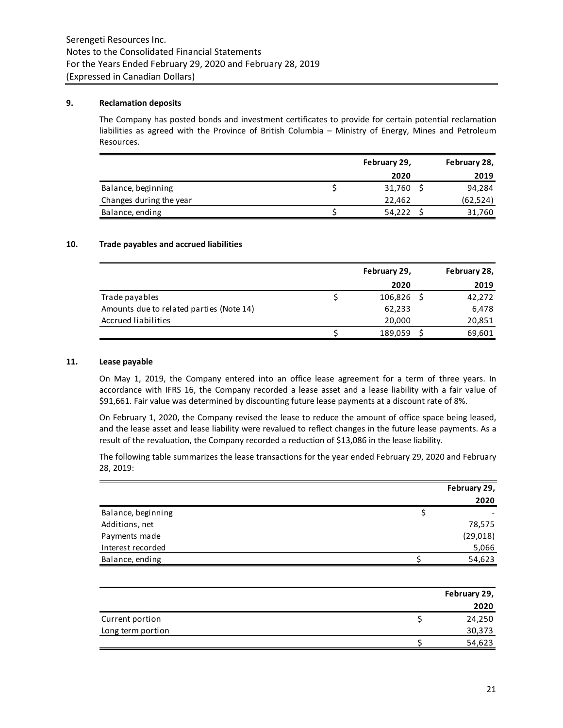### **9. Reclamation deposits**

The Company has posted bonds and investment certificates to provide for certain potential reclamation liabilities as agreed with the Province of British Columbia – Ministry of Energy, Mines and Petroleum Resources.

|                         | February 29, | February 28, |
|-------------------------|--------------|--------------|
|                         | 2020         | 2019         |
| Balance, beginning      | 31,760       | 94,284       |
| Changes during the year | 22,462       | (62, 524)    |
| Balance, ending         | 54,222       | 31,760       |
|                         |              |              |

### **10. Trade payables and accrued liabilities**

|                                          | February 29, | February 28, |
|------------------------------------------|--------------|--------------|
|                                          | 2020         | 2019         |
| Trade payables                           | 106,826      | 42,272       |
| Amounts due to related parties (Note 14) | 62,233       | 6,478        |
| Accrued liabilities                      | 20,000       | 20,851       |
|                                          | 189,059      | 69,601       |

### **11. Lease payable**

On May 1, 2019, the Company entered into an office lease agreement for a term of three years. In accordance with IFRS 16, the Company recorded a lease asset and a lease liability with a fair value of \$91,661. Fair value was determined by discounting future lease payments at a discount rate of 8%.

On February 1, 2020, the Company revised the lease to reduce the amount of office space being leased, and the lease asset and lease liability were revalued to reflect changes in the future lease payments. As a result of the revaluation, the Company recorded a reduction of \$13,086 in the lease liability.

The following table summarizes the lease transactions for the year ended February 29, 2020 and February 28, 2019:

|                    | February 29, |
|--------------------|--------------|
|                    | 2020         |
| Balance, beginning |              |
| Additions, net     | 78,575       |
| Payments made      | (29, 018)    |
| Interest recorded  | 5,066        |
| Balance, ending    | 54,623       |

|                   | February 29, |
|-------------------|--------------|
|                   | 2020         |
| Current portion   | 24,250       |
| Long term portion | 30,373       |
|                   | 54,623       |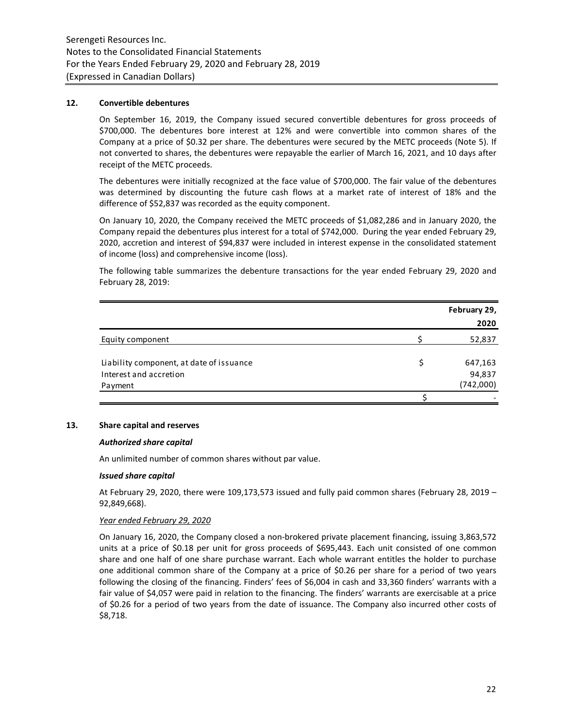### **12. Convertible debentures**

On September 16, 2019, the Company issued secured convertible debentures for gross proceeds of \$700,000. The debentures bore interest at 12% and were convertible into common shares of the Company at a price of \$0.32 per share. The debentures were secured by the METC proceeds (Note 5). If not converted to shares, the debentures were repayable the earlier of March 16, 2021, and 10 days after receipt of the METC proceeds.

The debentures were initially recognized at the face value of \$700,000. The fair value of the debentures was determined by discounting the future cash flows at a market rate of interest of 18% and the difference of \$52,837 was recorded as the equity component.

On January 10, 2020, the Company received the METC proceeds of \$1,082,286 and in January 2020, the Company repaid the debentures plus interest for a total of \$742,000. During the year ended February 29, 2020, accretion and interest of \$94,837 were included in interest expense in the consolidated statement of income (loss) and comprehensive income (loss).

The following table summarizes the debenture transactions for the year ended February 29, 2020 and February 28, 2019:

|                                                                               | February 29,                   |
|-------------------------------------------------------------------------------|--------------------------------|
|                                                                               | 2020                           |
| Equity component                                                              | 52,837                         |
| Liability component, at date of issuance<br>Interest and accretion<br>Payment | 647,163<br>94,837<br>(742,000) |
|                                                                               |                                |

## **13. Share capital and reserves**

#### *Authorized share capital*

An unlimited number of common shares without par value.

#### *Issued share capital*

At February 29, 2020, there were 109,173,573 issued and fully paid common shares (February 28, 2019 – 92,849,668).

#### *Year ended February 29, 2020*

On January 16, 2020, the Company closed a non-brokered private placement financing, issuing 3,863,572 units at a price of \$0.18 per unit for gross proceeds of \$695,443. Each unit consisted of one common share and one half of one share purchase warrant. Each whole warrant entitles the holder to purchase one additional common share of the Company at a price of \$0.26 per share for a period of two years following the closing of the financing. Finders' fees of \$6,004 in cash and 33,360 finders' warrants with a fair value of \$4,057 were paid in relation to the financing. The finders' warrants are exercisable at a price of \$0.26 for a period of two years from the date of issuance. The Company also incurred other costs of \$8,718.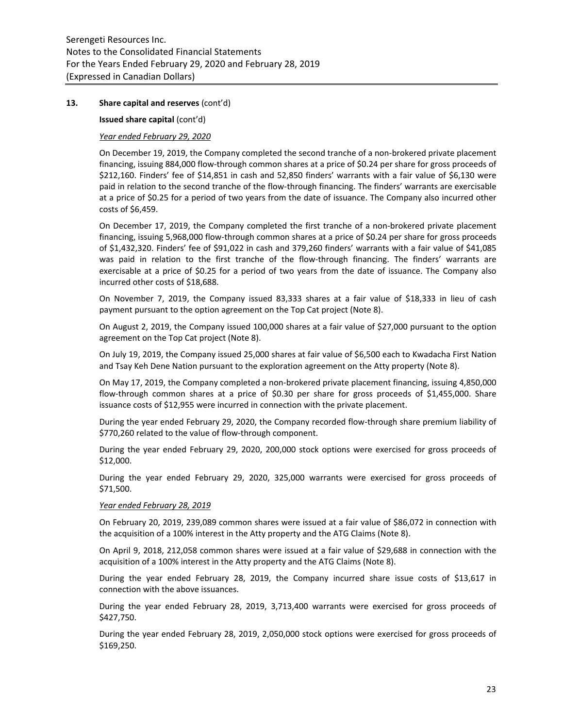#### **Issued share capital** (cont'd)

## *Year ended February 29, 2020*

On December 19, 2019, the Company completed the second tranche of a non-brokered private placement financing, issuing 884,000 flow-through common shares at a price of \$0.24 per share for gross proceeds of \$212,160. Finders' fee of \$14,851 in cash and 52,850 finders' warrants with a fair value of \$6,130 were paid in relation to the second tranche of the flow-through financing. The finders' warrants are exercisable at a price of \$0.25 for a period of two years from the date of issuance. The Company also incurred other costs of \$6,459.

On December 17, 2019, the Company completed the first tranche of a non-brokered private placement financing, issuing 5,968,000 flow-through common shares at a price of \$0.24 per share for gross proceeds of \$1,432,320. Finders' fee of \$91,022 in cash and 379,260 finders' warrants with a fair value of \$41,085 was paid in relation to the first tranche of the flow-through financing. The finders' warrants are exercisable at a price of \$0.25 for a period of two years from the date of issuance. The Company also incurred other costs of \$18,688.

On November 7, 2019, the Company issued 83,333 shares at a fair value of \$18,333 in lieu of cash payment pursuant to the option agreement on the Top Cat project (Note 8).

On August 2, 2019, the Company issued 100,000 shares at a fair value of \$27,000 pursuant to the option agreement on the Top Cat project (Note 8).

On July 19, 2019, the Company issued 25,000 shares at fair value of \$6,500 each to Kwadacha First Nation and Tsay Keh Dene Nation pursuant to the exploration agreement on the Atty property (Note 8).

On May 17, 2019, the Company completed a non-brokered private placement financing, issuing 4,850,000 flow-through common shares at a price of \$0.30 per share for gross proceeds of \$1,455,000. Share issuance costs of \$12,955 were incurred in connection with the private placement.

During the year ended February 29, 2020, the Company recorded flow-through share premium liability of \$770,260 related to the value of flow-through component.

During the year ended February 29, 2020, 200,000 stock options were exercised for gross proceeds of \$12,000.

During the year ended February 29, 2020, 325,000 warrants were exercised for gross proceeds of \$71,500.

### *Year ended February 28, 2019*

On February 20, 2019, 239,089 common shares were issued at a fair value of \$86,072 in connection with the acquisition of a 100% interest in the Atty property and the ATG Claims (Note 8).

On April 9, 2018, 212,058 common shares were issued at a fair value of \$29,688 in connection with the acquisition of a 100% interest in the Atty property and the ATG Claims (Note 8).

During the year ended February 28, 2019, the Company incurred share issue costs of \$13,617 in connection with the above issuances.

During the year ended February 28, 2019, 3,713,400 warrants were exercised for gross proceeds of \$427,750.

During the year ended February 28, 2019, 2,050,000 stock options were exercised for gross proceeds of \$169,250.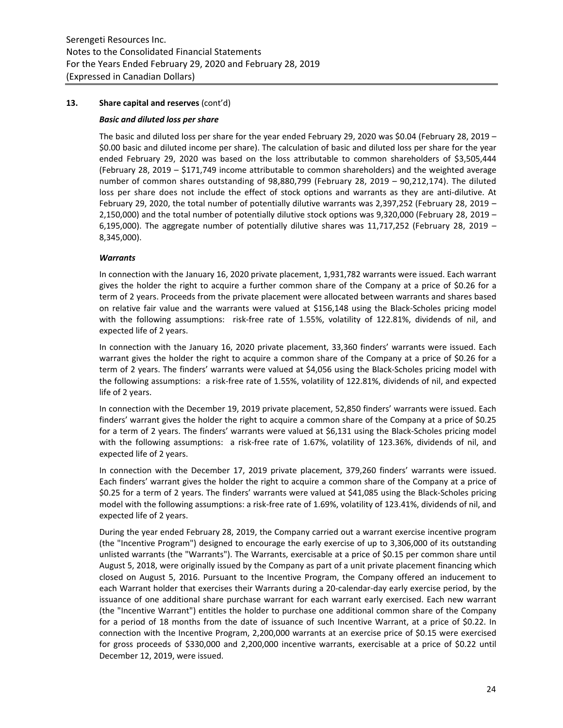#### *Basic and diluted loss per share*

The basic and diluted loss per share for the year ended February 29, 2020 was \$0.04 (February 28, 2019 – \$0.00 basic and diluted income per share). The calculation of basic and diluted loss per share for the year ended February 29, 2020 was based on the loss attributable to common shareholders of \$3,505,444 (February 28, 2019 – \$171,749 income attributable to common shareholders) and the weighted average number of common shares outstanding of 98,880,799 (February 28, 2019 – 90,212,174). The diluted loss per share does not include the effect of stock options and warrants as they are anti-dilutive. At February 29, 2020, the total number of potentially dilutive warrants was 2,397,252 (February 28, 2019 – 2,150,000) and the total number of potentially dilutive stock options was 9,320,000 (February 28, 2019 – 6,195,000). The aggregate number of potentially dilutive shares was 11,717,252 (February 28, 2019 – 8,345,000).

### *Warrants*

In connection with the January 16, 2020 private placement, 1,931,782 warrants were issued. Each warrant gives the holder the right to acquire a further common share of the Company at a price of \$0.26 for a term of 2 years. Proceeds from the private placement were allocated between warrants and shares based on relative fair value and the warrants were valued at \$156,148 using the Black-Scholes pricing model with the following assumptions: risk-free rate of 1.55%, volatility of 122.81%, dividends of nil, and expected life of 2 years.

In connection with the January 16, 2020 private placement, 33,360 finders' warrants were issued. Each warrant gives the holder the right to acquire a common share of the Company at a price of \$0.26 for a term of 2 years. The finders' warrants were valued at \$4,056 using the Black-Scholes pricing model with the following assumptions: a risk-free rate of 1.55%, volatility of 122.81%, dividends of nil, and expected life of 2 years.

In connection with the December 19, 2019 private placement, 52,850 finders' warrants were issued. Each finders' warrant gives the holder the right to acquire a common share of the Company at a price of \$0.25 for a term of 2 years. The finders' warrants were valued at \$6,131 using the Black-Scholes pricing model with the following assumptions: a risk-free rate of 1.67%, volatility of 123.36%, dividends of nil, and expected life of 2 years.

In connection with the December 17, 2019 private placement, 379,260 finders' warrants were issued. Each finders' warrant gives the holder the right to acquire a common share of the Company at a price of \$0.25 for a term of 2 years. The finders' warrants were valued at \$41,085 using the Black-Scholes pricing model with the following assumptions: a risk-free rate of 1.69%, volatility of 123.41%, dividends of nil, and expected life of 2 years.

During the year ended February 28, 2019, the Company carried out a warrant exercise incentive program (the "Incentive Program") designed to encourage the early exercise of up to 3,306,000 of its outstanding unlisted warrants (the "Warrants"). The Warrants, exercisable at a price of \$0.15 per common share until August 5, 2018, were originally issued by the Company as part of a unit private placement financing which closed on August 5, 2016. Pursuant to the Incentive Program, the Company offered an inducement to each Warrant holder that exercises their Warrants during a 20-calendar-day early exercise period, by the issuance of one additional share purchase warrant for each warrant early exercised. Each new warrant (the "Incentive Warrant") entitles the holder to purchase one additional common share of the Company for a period of 18 months from the date of issuance of such Incentive Warrant, at a price of \$0.22. In connection with the Incentive Program, 2,200,000 warrants at an exercise price of \$0.15 were exercised for gross proceeds of \$330,000 and 2,200,000 incentive warrants, exercisable at a price of \$0.22 until December 12, 2019, were issued.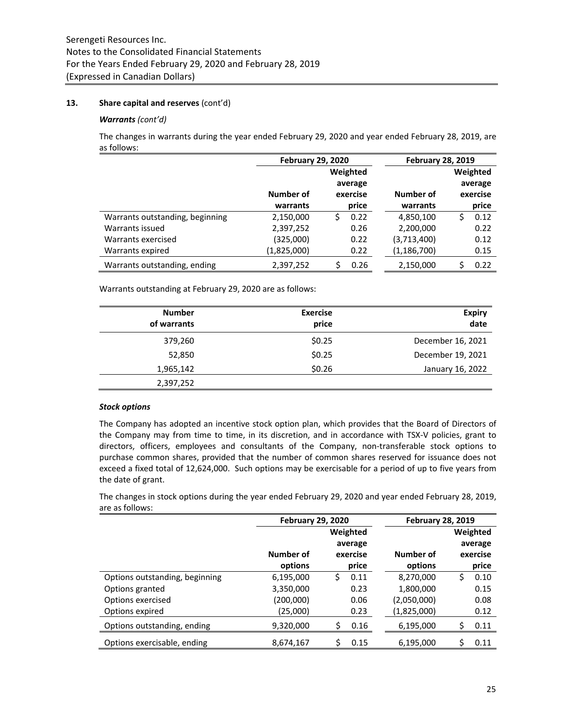### *Warrants (cont'd)*

The changes in warrants during the year ended February 29, 2020 and year ended February 28, 2019, are as follows:

|                                 | <b>February 29, 2020</b> |   |          | <b>February 28, 2019</b> |               |    |          |
|---------------------------------|--------------------------|---|----------|--------------------------|---------------|----|----------|
|                                 |                          |   | Weighted |                          |               |    | Weighted |
|                                 |                          |   | average  |                          |               |    | average  |
|                                 | Number of                |   | exercise |                          | Number of     |    | exercise |
|                                 | warrants                 |   | price    |                          | warrants      |    | price    |
| Warrants outstanding, beginning | 2,150,000                | S | 0.22     |                          | 4,850,100     | S. | 0.12     |
| Warrants issued                 | 2,397,252                |   | 0.26     |                          | 2,200,000     |    | 0.22     |
| Warrants exercised              | (325,000)                |   | 0.22     |                          | (3,713,400)   |    | 0.12     |
| Warrants expired                | (1,825,000)              |   | 0.22     |                          | (1, 186, 700) |    | 0.15     |
| Warrants outstanding, ending    | 2,397,252                |   | 0.26     |                          | 2,150,000     |    | 0.22     |

Warrants outstanding at February 29, 2020 are as follows:

| <b>Number</b><br>of warrants | <b>Exercise</b><br>price | <b>Expiry</b><br>date |
|------------------------------|--------------------------|-----------------------|
| 379,260                      | \$0.25                   | December 16, 2021     |
| 52,850                       | \$0.25                   | December 19, 2021     |
| 1,965,142                    | \$0.26                   | January 16, 2022      |
| 2,397,252                    |                          |                       |

## *Stock options*

The Company has adopted an incentive stock option plan, which provides that the Board of Directors of the Company may from time to time, in its discretion, and in accordance with TSX-V policies, grant to directors, officers, employees and consultants of the Company, non-transferable stock options to purchase common shares, provided that the number of common shares reserved for issuance does not exceed a fixed total of 12,624,000. Such options may be exercisable for a period of up to five years from the date of grant.

The changes in stock options during the year ended February 29, 2020 and year ended February 28, 2019, are as follows:

|                                | <b>February 29, 2020</b> |          | <b>February 28, 2019</b> |             |    |          |
|--------------------------------|--------------------------|----------|--------------------------|-------------|----|----------|
|                                |                          | Weighted |                          |             |    | Weighted |
|                                |                          |          | average                  |             |    | average  |
|                                | Number of                |          | exercise                 | Number of   |    | exercise |
|                                | options                  |          | price                    | options     |    | price    |
| Options outstanding, beginning | 6,195,000                | \$       | 0.11                     | 8,270,000   | \$ | 0.10     |
| Options granted                | 3,350,000                |          | 0.23                     | 1,800,000   |    | 0.15     |
| Options exercised              | (200,000)                |          | 0.06                     | (2,050,000) |    | 0.08     |
| Options expired                | (25,000)                 |          | 0.23                     | (1,825,000) |    | 0.12     |
| Options outstanding, ending    | 9,320,000                | \$       | 0.16                     | 6,195,000   | \$ | 0.11     |
| Options exercisable, ending    | 8,674,167                |          | 0.15                     | 6,195,000   | \$ | 0.11     |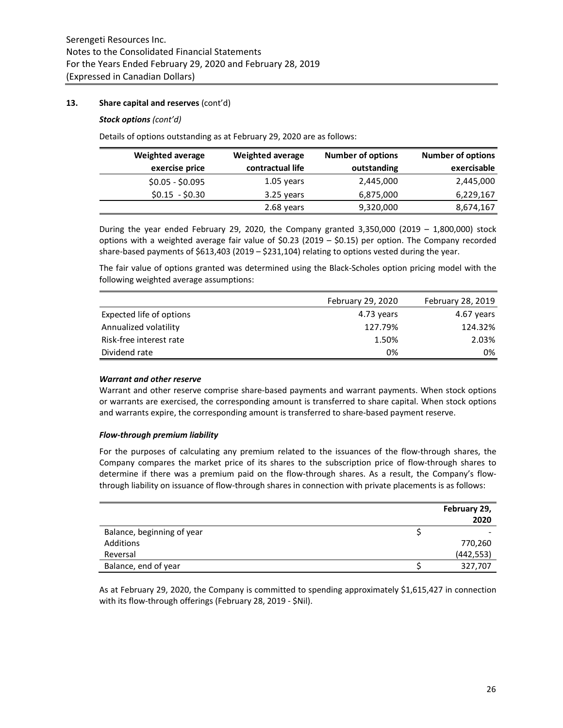#### *Stock options (cont'd)*

Details of options outstanding as at February 29, 2020 are as follows:

| Weighted average | Weighted average | <b>Number of options</b> | <b>Number of options</b> |
|------------------|------------------|--------------------------|--------------------------|
| exercise price   | contractual life | outstanding              | exercisable              |
| $$0.05 - $0.095$ | 1.05 years       | 2,445,000                | 2,445,000                |
| $$0.15 - $0.30$  | 3.25 years       | 6,875,000                | 6,229,167                |
|                  | 2.68 years       | 9,320,000                | 8,674,167                |

During the year ended February 29, 2020, the Company granted  $3,350,000$  (2019 – 1,800,000) stock options with a weighted average fair value of \$0.23 (2019 – \$0.15) per option. The Company recorded share-based payments of \$613,403 (2019 – \$231,104) relating to options vested during the year.

The fair value of options granted was determined using the Black-Scholes option pricing model with the following weighted average assumptions:

|                          | February 29, 2020 | February 28, 2019 |
|--------------------------|-------------------|-------------------|
| Expected life of options | 4.73 years        | 4.67 years        |
| Annualized volatility    | 127.79%           | 124.32%           |
| Risk-free interest rate  | 1.50%             | 2.03%             |
| Dividend rate            | 0%                | 0%                |

### *Warrant and other reserve*

Warrant and other reserve comprise share-based payments and warrant payments. When stock options or warrants are exercised, the corresponding amount is transferred to share capital. When stock options and warrants expire, the corresponding amount is transferred to share-based payment reserve.

### *Flow-through premium liability*

For the purposes of calculating any premium related to the issuances of the flow-through shares, the Company compares the market price of its shares to the subscription price of flow-through shares to determine if there was a premium paid on the flow-through shares. As a result, the Company's flowthrough liability on issuance of flow-through shares in connection with private placements is as follows:

|                            | February 29, |
|----------------------------|--------------|
|                            | 2020         |
| Balance, beginning of year |              |
| Additions                  | 770,260      |
| Reversal                   | (442, 553)   |
| Balance, end of year       | 327,707      |

As at February 29, 2020, the Company is committed to spending approximately \$1,615,427 in connection with its flow-through offerings (February 28, 2019 - \$Nil).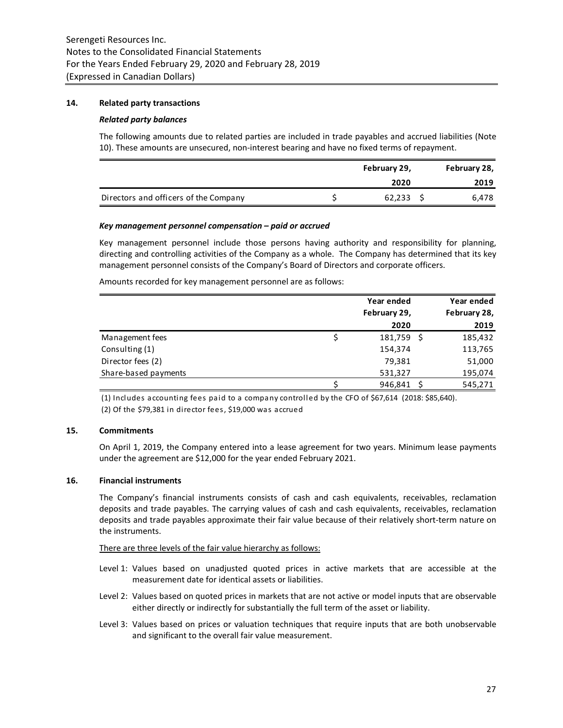### **14. Related party transactions**

#### *Related party balances*

The following amounts due to related parties are included in trade payables and accrued liabilities (Note 10). These amounts are unsecured, non-interest bearing and have no fixed terms of repayment.

|                                       | February 29, |        | February 28, |
|---------------------------------------|--------------|--------|--------------|
|                                       |              | 2020   | 2019         |
| Directors and officers of the Company |              | 62,233 | 6.478        |

#### *Key management personnel compensation – paid or accrued*

Key management personnel include those persons having authority and responsibility for planning, directing and controlling activities of the Company as a whole. The Company has determined that its key management personnel consists of the Company's Board of Directors and corporate officers.

Amounts recorded for key management personnel are as follows:

|                      | Year ended    |    | Year ended   |
|----------------------|---------------|----|--------------|
|                      | February 29,  |    | February 28, |
|                      | 2020          |    | 2019         |
| Management fees      | \$<br>181,759 | -S | 185,432      |
| Consulting (1)       | 154,374       |    | 113,765      |
| Director fees (2)    | 79,381        |    | 51,000       |
| Share-based payments | 531,327       |    | 195,074      |
|                      | 946,841       |    | 545,271      |

(1) Includes accounting fees paid to a company controlled by the CFO of \$67,614 (2018: \$85,640). (2) Of the \$79,381 in director fees, \$19,000 was accrued

### **15. Commitments**

On April 1, 2019, the Company entered into a lease agreement for two years. Minimum lease payments under the agreement are \$12,000 for the year ended February 2021.

## **16. Financial instruments**

The Company's financial instruments consists of cash and cash equivalents, receivables, reclamation deposits and trade payables. The carrying values of cash and cash equivalents, receivables, reclamation deposits and trade payables approximate their fair value because of their relatively short-term nature on the instruments.

There are three levels of the fair value hierarchy as follows:

- Level 1: Values based on unadjusted quoted prices in active markets that are accessible at the measurement date for identical assets or liabilities.
- Level 2: Values based on quoted prices in markets that are not active or model inputs that are observable either directly or indirectly for substantially the full term of the asset or liability.
- Level 3: Values based on prices or valuation techniques that require inputs that are both unobservable and significant to the overall fair value measurement.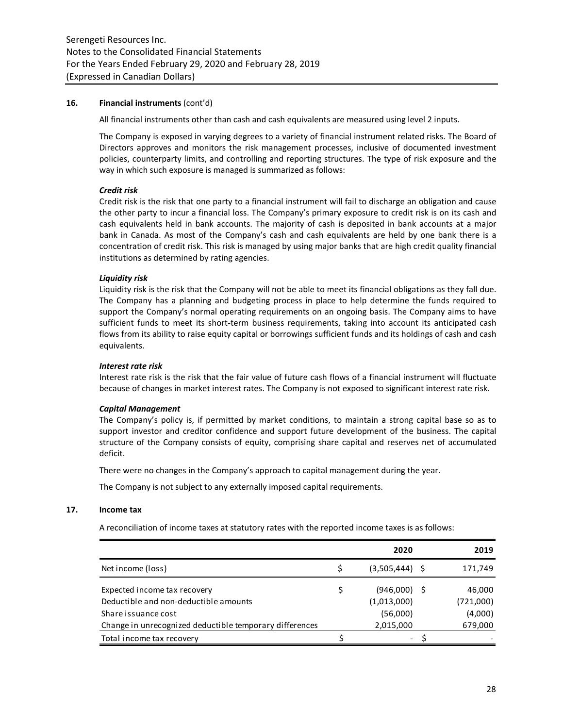## **16. Financial instruments** (cont'd)

All financial instruments other than cash and cash equivalents are measured using level 2 inputs.

The Company is exposed in varying degrees to a variety of financial instrument related risks. The Board of Directors approves and monitors the risk management processes, inclusive of documented investment policies, counterparty limits, and controlling and reporting structures. The type of risk exposure and the way in which such exposure is managed is summarized as follows:

## *Credit risk*

Credit risk is the risk that one party to a financial instrument will fail to discharge an obligation and cause the other party to incur a financial loss. The Company's primary exposure to credit risk is on its cash and cash equivalents held in bank accounts. The majority of cash is deposited in bank accounts at a major bank in Canada. As most of the Company's cash and cash equivalents are held by one bank there is a concentration of credit risk. This risk is managed by using major banks that are high credit quality financial institutions as determined by rating agencies.

### *Liquidity risk*

Liquidity risk is the risk that the Company will not be able to meet its financial obligations as they fall due. The Company has a planning and budgeting process in place to help determine the funds required to support the Company's normal operating requirements on an ongoing basis. The Company aims to have sufficient funds to meet its short-term business requirements, taking into account its anticipated cash flows from its ability to raise equity capital or borrowings sufficient funds and its holdings of cash and cash equivalents.

### *Interest rate risk*

Interest rate risk is the risk that the fair value of future cash flows of a financial instrument will fluctuate because of changes in market interest rates. The Company is not exposed to significant interest rate risk.

## *Capital Management*

The Company's policy is, if permitted by market conditions, to maintain a strong capital base so as to support investor and creditor confidence and support future development of the business. The capital structure of the Company consists of equity, comprising share capital and reserves net of accumulated deficit.

There were no changes in the Company's approach to capital management during the year.

The Company is not subject to any externally imposed capital requirements.

### **17. Income tax**

A reconciliation of income taxes at statutory rates with the reported income taxes is as follows:

|                                                         |   | 2020                     | 2019      |
|---------------------------------------------------------|---|--------------------------|-----------|
| Net income (loss)                                       | S | $(3,505,444)$ \$         | 171,749   |
| Expected income tax recovery                            |   | $(946,000)$ \$           | 46,000    |
| Deductible and non-deductible amounts                   |   | (1,013,000)              | (721,000) |
| Share issuance cost                                     |   | (56,000)                 | (4,000)   |
| Change in unrecognized deductible temporary differences |   | 2,015,000                | 679,000   |
| Total income tax recovery                               |   | $\overline{\phantom{a}}$ |           |